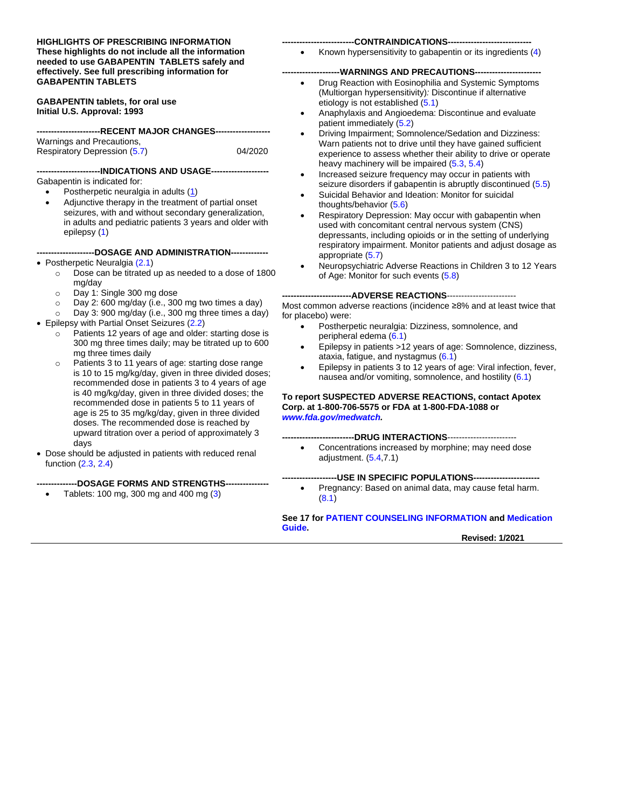#### **HIGHLIGHTS OF PRESCRIBING INFORMATION These highlights do not include all the information needed to use GABAPENTIN TABLETS safely and effectively. See full prescribing information for GABAPENTIN TABLETS**

**GABAPENTIN tablets, for oral use Initial U.S. Approval: 1993**

#### **----------------------RECENT MAJOR CHANGES-------------------**

Warnings and Precautions, Respiratory Depression [\(5.7\)](#page-4-0) 04/2020

#### **----------------------INDICATIONS AND USAGE--------------------**

Gabapentin is indicated for:

• Postherpetic neuralgia in adults [\(1\)](#page-2-0) • Adjunctive therapy in the treatment of partial onset seizures, with and without secondary generalization, in adults and pediatric patients 3 years and older with epilepsy [\(1\)](#page-2-0)

#### **--------------------DOSAGE AND ADMINISTRATION-------------**

#### • Postherpetic Neuralgia [\(2.1\)](#page-2-1)

- o Dose can be titrated up as needed to a dose of 1800 mg/day
- o Day 1: Single 300 mg dose
- o Day 2: 600 mg/day (i.e., 300 mg two times a day)
- o Day 3: 900 mg/day (i.e., 300 mg three times a day)
- Epilepsy with Partial Onset Seizures [\(2.2\)](#page-2-2)
	- o Patients 12 years of age and older: starting dose is 300 mg three times daily; may be titrated up to 600 mg three times daily
	- o Patients 3 to 11 years of age: starting dose range is 10 to 15 mg/kg/day, given in three divided doses; recommended dose in patients 3 to 4 years of age is 40 mg/kg/day, given in three divided doses; the recommended dose in patients 5 to 11 years of age is 25 to 35 mg/kg/day, given in three divided doses. The recommended dose is reached by upward titration over a period of approximately 3 days
- Dose should be adjusted in patients with reduced renal function [\(2.3,](#page-2-3) [2.4\)](#page-3-0)

#### **--------------DOSAGE FORMS AND STRENGTHS---------------**

• Tablets: 100 mg, 300 mg and 400 mg [\(3\)](#page-3-1)

#### -CONTRAINDICATIONS----

• Known hypersensitivity to gabapentin or its ingredients [\(4\)](#page-3-2)

#### **WARNINGS AND PRECAUTIONS---**

- Drug Reaction with Eosinophilia and Systemic Symptoms (Multiorgan hypersensitivity)*:* Discontinue if alternative etiology is not established [\(5.1\)](#page-3-3)
- Anaphylaxis and Angioedema: Discontinue and evaluate patient immediately [\(5.2\)](#page-3-4)
- Driving Impairment; Somnolence/Sedation and Dizziness: Warn patients not to drive until they have gained sufficient experience to assess whether their ability to drive or operate heavy machinery will be impaired [\(5.3,](#page-4-1) [5.4\)](#page-4-2)
- Increased seizure frequency may occur in patients with seizure disorders if gabapentin is abruptly discontinued [\(5.5\)](#page-4-3)
- Suicidal Behavior and Ideation: Monitor for suicidal thoughts/behavior [\(5.6\)](#page-4-0)
- Respiratory Depression: May occur with gabapentin when used with concomitant central nervous system (CNS) depressants, including opioids or in the setting of underlying respiratory impairment. Monitor patients and adjust dosage as appropriate [\(5.7\)](#page-6-0)
- Neuropsychiatric Adverse Reactions in Children 3 to 12 Years of Age: Monitor for such events [\(5.8\)](#page-6-0)

#### --ADVERSE REACTIONS------------------------

Most common adverse reactions (incidence ≥8% and at least twice that for placebo) were:

- Postherpetic neuralgia: Dizziness, somnolence, and peripheral edema [\(6.1\)](#page-7-0)
- Epilepsy in patients >12 years of age: Somnolence, dizziness, ataxia, fatigue, and nystagmus [\(6.1\)](#page-7-0)
- Epilepsy in patients 3 to 12 years of age: Viral infection, fever, nausea and/or vomiting, somnolence, and hostility [\(6.1\)](#page-7-0)

#### **To report SUSPECTED ADVERSE REACTIONS, contact Apotex Corp. at 1-800-706-5575 or FDA at 1-800-FDA-1088 or** *[www.fda.gov/medwatch.](http://www.fda.gov/medwatch)*

#### **-------------------------DRUG INTERACTIONS**------------------------

• Concentrations increased by morphine; may need dose adjustment. [\(5.4,7](#page-4-2).1)

#### **-USE IN SPECIFIC POPULATIONS-----**

• Pregnancy: Based on animal data, may cause fetal harm. [\(8.1\)](#page-10-0)

#### **See 17 fo[r PATIENT COUNSELING INFORMATION](#page-21-0) and [Medication](#page-23-0)  [Guide.](#page-23-0)**

**Revised: 1/2021**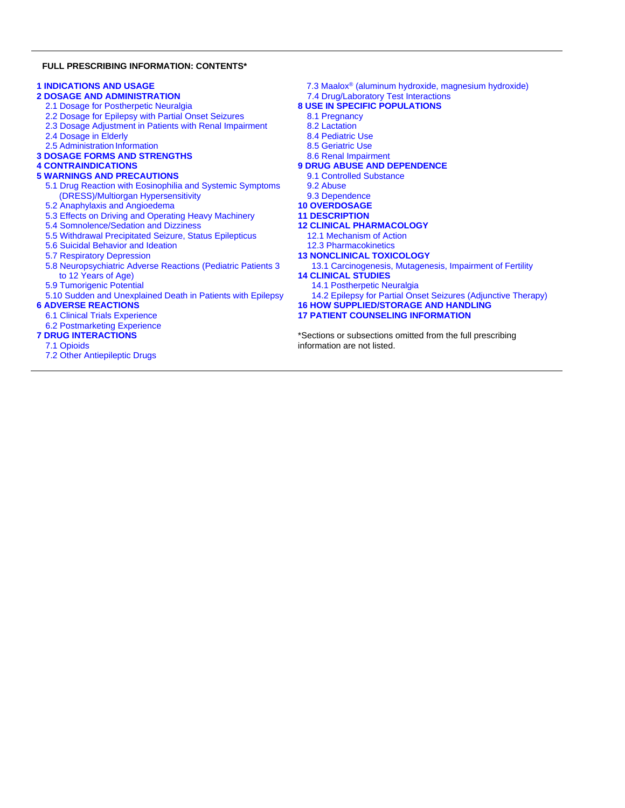#### **FULL PRESCRIBING INFORMATION: CONTENTS\***

#### **[1 INDICATIONS AND USAGE](#page-2-0)**

- **[2 DOSAGE AND ADMINISTRATION](#page-2-4)**
	- 2.1 [Dosage for Postherpetic Neuralgia](#page-2-1)
	- 2.2 [Dosage for Epilepsy with Partial Onset Seizures](#page-2-2)
	- 2.3 [Dosage Adjustment in Patients with Renal Impairment](#page-2-3)
	- 2.4 [Dosage in Elderly](#page-3-0)
	- [2.5 Administration](#page-3-5) Information
- **3 [DOSAGE FORMS AND STRENGTHS](#page-3-1)**

#### **[4 CONTRAINDICATIONS](#page-3-2)**

#### **[5 WARNINGS AND PRECAUTIONS](#page-3-6)**

- [5.1 Drug Reaction with Eosinophilia](#page-3-3) and Systemic Symptoms [\(DRESS\)/Multiorgan Hypersensitivity](#page-3-3)
- 5.2 [Anaphylaxis and Angioedema](#page-3-4)
- 5.3 [Effects on Driving and Operating Heavy Machinery](#page-4-1)
- 5.4 [Somnolence/Sedation and Dizziness](#page-4-2)
- 5.5 [Withdrawal Precipitated Seizure, Status Epilepticus](#page-4-3)
- 5.6 [Suicidal Behavior and Ideation](#page-4-0)
- [5.7 Respiratory Depression](#page-4-0)
- 5.8 [Neuropsychiatric Adverse Reactions \(Pediatric Patients 3](#page-6-0) 
	- [to 12 Years of Age\)](#page-6-0)
- 5.9 [Tumorigenic Potential](#page-6-1)
- 5.10 [Sudden and Unexplained Death in Patients with Epilepsy](#page-6-2)

#### **[6 ADVERSE REACTIONS](#page-6-3)**

- [6.1 Clinical Trials Experience](#page-7-0)
- 6.2 [Postmarketing Experience](#page-9-0)

#### **[7 DRUG INTERACTIONS](#page-10-1)**

- [7.1 Opioids](#page-10-2)
- [7.2 Other Antiepileptic Drugs](#page-10-3)
- 7.3 Maalox® [\(aluminum hydroxide, magnesium hydroxide\)](#page-10-4)
- 7.4 [Drug/Laboratory Test Interactions](#page-10-5)

#### **[8 USE IN SPECIFIC POPULATIONS](#page-10-6)**

- [8.1 Pregnancy](#page-10-0)
- [8.2 Lactation](#page-11-0)
- [8.4 Pediatric Use](#page-11-1)
- [8.5 Geriatric Use](#page-11-2)
- [8.6 Renal Impairment](#page-12-0)
- **9 [DRUG ABUSE AND DEPENDENCE](#page-12-1)**
	- [9.1 Controlled Substance](#page-12-2)
	- [9.2 Abuse](#page-12-3)
	- [9.3 Dependence](#page-12-4)
- **[10 OVERDOSAGE](#page-12-5)**
- **[11 DESCRIPTION](#page-13-0)**
- **[12 CLINICAL PHARMACOLOGY](#page-13-1)**
	- [12.1 Mechanism of Action](#page-13-2)
	- [12.3 Pharmacokinetics](#page-13-3)
- **[13 NONCLINICAL TOXICOLOGY](#page-16-0)**
	- 13.1 [Carcinogenesis, Mutagenesis, Impairment of Fertility](#page-16-1)
- **[14 CLINICAL STUDIES](#page-16-2)**
	- [14.1 Postherpetic Neuralgia](#page-16-3)
	- 14.2 Epilepsy [for Partial Onset Seizures \(Adjunctive Therapy\)](#page-18-0)
- **[16 HOW SUPPLIED/STORAGE AND HANDLING](#page-20-0)**
- **17 PATIENT [COUNSELING INFORMATION](#page-21-0)**

\*Sections or subsections omitted from the full prescribing information are not listed.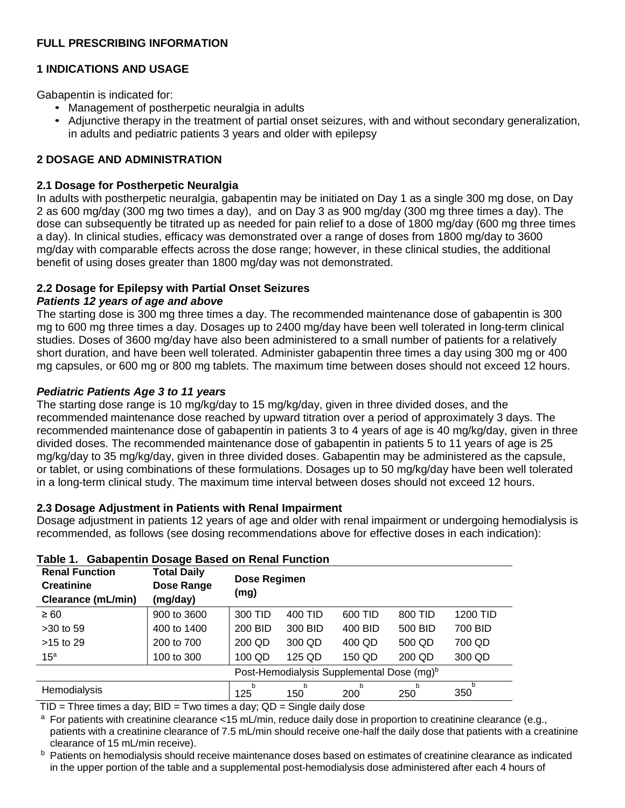### **FULL PRESCRIBING INFORMATION**

## <span id="page-2-0"></span>**1 INDICATIONS AND USAGE**

Gabapentin is indicated for:

- Management of postherpetic neuralgia in adults
- Adjunctive therapy in the treatment of partial onset seizures, with and without secondary generalization, in adults and pediatric patients 3 years and older with epilepsy

## <span id="page-2-4"></span>**2 DOSAGE AND ADMINISTRATION**

#### <span id="page-2-1"></span>**2.1 Dosage for Postherpetic Neuralgia**

In adults with postherpetic neuralgia, gabapentin may be initiated on Day 1 as a single 300 mg dose, on Day 2 as 600 mg/day (300 mg two times a day), and on Day 3 as 900 mg/day (300 mg three times a day). The dose can subsequently be titrated up as needed for pain relief to a dose of 1800 mg/day (600 mg three times a day). In clinical studies, efficacy was demonstrated over a range of doses from 1800 mg/day to 3600 mg/day with comparable effects across the dose range; however, in these clinical studies, the additional benefit of using doses greater than 1800 mg/day was not demonstrated.

## <span id="page-2-2"></span>**2.2 Dosage for Epilepsy with Partial Onset Seizures**

#### *Patients 12 years of age and above*

The starting dose is 300 mg three times a day. The recommended maintenance dose of gabapentin is 300 mg to 600 mg three times a day. Dosages up to 2400 mg/day have been well tolerated in long-term clinical studies. Doses of 3600 mg/day have also been administered to a small number of patients for a relatively short duration, and have been well tolerated. Administer gabapentin three times a day using 300 mg or 400 mg capsules, or 600 mg or 800 mg tablets. The maximum time between doses should not exceed 12 hours.

## *Pediatric Patients Age 3 to 11 years*

The starting dose range is 10 mg/kg/day to 15 mg/kg/day, given in three divided doses, and the recommended maintenance dose reached by upward titration over a period of approximately 3 days. The recommended maintenance dose of gabapentin in patients 3 to 4 years of age is 40 mg/kg/day, given in three divided doses. The recommended maintenance dose of gabapentin in patients 5 to 11 years of age is 25 mg/kg/day to 35 mg/kg/day, given in three divided doses. Gabapentin may be administered as the capsule, or tablet, or using combinations of these formulations. Dosages up to 50 mg/kg/day have been well tolerated in a long-term clinical study. The maximum time interval between doses should not exceed 12 hours.

#### <span id="page-2-3"></span>**2.3 Dosage Adjustment in Patients with Renal Impairment**

Dosage adjustment in patients 12 years of age and older with renal impairment or undergoing hemodialysis is recommended, as follows (see dosing recommendations above for effective doses in each indication):

| <b>Renal Function</b><br><b>Creatinine</b><br><b>Clearance (mL/min)</b> | <b>Total Daily</b><br>Dose Range<br>(mg/day) | Dose Regimen<br>(mg) |          |          |          |          |
|-------------------------------------------------------------------------|----------------------------------------------|----------------------|----------|----------|----------|----------|
| $\geq 60$                                                               | 900 to 3600                                  | 300 TID              | 400 TID  | 600 TID  | 800 TID  | 1200 TID |
| $>30$ to 59                                                             | 400 to 1400                                  | 200 BID              | 300 BID  | 400 BID  | 500 BID  | 700 BID  |
| $>15$ to 29                                                             | 200 to 700                                   | 200 QD               | 300 QD   | 400 QD   | 500 QD   | 700 QD   |
| 15 <sup>a</sup>                                                         | 100 to 300                                   | 100 QD               | 125 QD   | 150 QD   | 200 QD   | 300 QD   |
| Post-Hemodialysis Supplemental Dose (mg) <sup>b</sup>                   |                                              |                      |          |          |          |          |
| <b>Hemodialysis</b>                                                     |                                              | 125                  | h<br>150 | b<br>200 | h<br>250 | h<br>350 |

#### **Table 1. Gabapentin Dosage Based on Renal Function**

 $TID = Three times a day; BID = Two times a day; QD = Single daily dose$ 

<sup>a</sup> For patients with creatinine clearance <15 mL/min, reduce daily dose in proportion to creatinine clearance (e.g., patients with a creatinine clearance of 7.5 mL/min should receive one-half the daily dose that patients with a creatinine clearance of 15 mL/min receive).

<sup>b</sup> Patients on hemodialysis should receive maintenance doses based on estimates of creatinine clearance as indicated in the upper portion of the table and a supplemental post-hemodialysis dose administered after each 4 hours of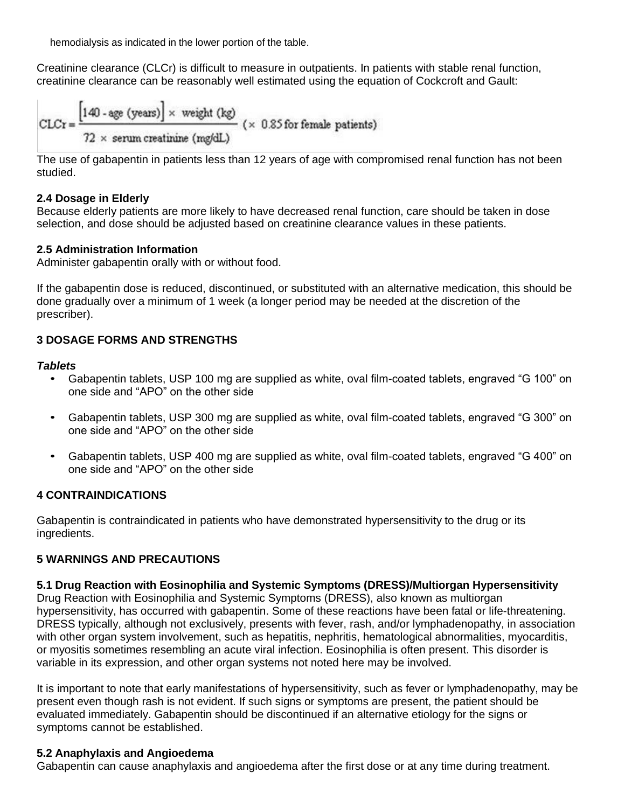hemodialysis as indicated in the lower portion of the table.

Creatinine clearance (CLCr) is difficult to measure in outpatients. In patients with stable renal function, creatinine clearance can be reasonably well estimated using the equation of Cockcroft and Gault:

$$
CLCr = \frac{[140 - age (years)] \times weight (kg)}{72 \times serum creationine (mg/dL)}
$$
 (× 0.85 for female patients)

The use of gabapentin in patients less than 12 years of age with compromised renal function has not been studied.

### <span id="page-3-0"></span>**2.4 Dosage in Elderly**

Because elderly patients are more likely to have decreased renal function, care should be taken in dose selection, and dose should be adjusted based on creatinine clearance values in these patients.

## <span id="page-3-5"></span>**2.5 Administration Information**

Administer gabapentin orally with or without food.

If the gabapentin dose is reduced, discontinued, or substituted with an alternative medication, this should be done gradually over a minimum of 1 week (a longer period may be needed at the discretion of the prescriber).

## <span id="page-3-1"></span>**3 DOSAGE FORMS AND STRENGTHS**

## *Tablets*

- Gabapentin tablets, USP 100 mg are supplied as white, oval film-coated tablets, engraved "G 100" on one side and "APO" on the other side
- Gabapentin tablets, USP 300 mg are supplied as white, oval film-coated tablets, engraved "G 300" on one side and "APO" on the other side
- Gabapentin tablets, USP 400 mg are supplied as white, oval film-coated tablets, engraved "G 400" on one side and "APO" on the other side

## <span id="page-3-2"></span>**4 CONTRAINDICATIONS**

Gabapentin is contraindicated in patients who have demonstrated hypersensitivity to the drug or its ingredients.

## <span id="page-3-6"></span>**5 WARNINGS AND PRECAUTIONS**

#### <span id="page-3-3"></span>**5.1 Drug Reaction with Eosinophilia and Systemic Symptoms (DRESS)/Multiorgan Hypersensitivity**

Drug Reaction with Eosinophilia and Systemic Symptoms (DRESS), also known as multiorgan hypersensitivity, has occurred with gabapentin. Some of these reactions have been fatal or life-threatening. DRESS typically, although not exclusively, presents with fever, rash, and/or lymphadenopathy, in association with other organ system involvement, such as hepatitis, nephritis, hematological abnormalities, myocarditis, or myositis sometimes resembling an acute viral infection. Eosinophilia is often present. This disorder is variable in its expression, and other organ systems not noted here may be involved.

It is important to note that early manifestations of hypersensitivity, such as fever or lymphadenopathy, may be present even though rash is not evident. If such signs or symptoms are present, the patient should be evaluated immediately. Gabapentin should be discontinued if an alternative etiology for the signs or symptoms cannot be established.

## <span id="page-3-4"></span>**5.2 Anaphylaxis and Angioedema**

Gabapentin can cause anaphylaxis and angioedema after the first dose or at any time during treatment.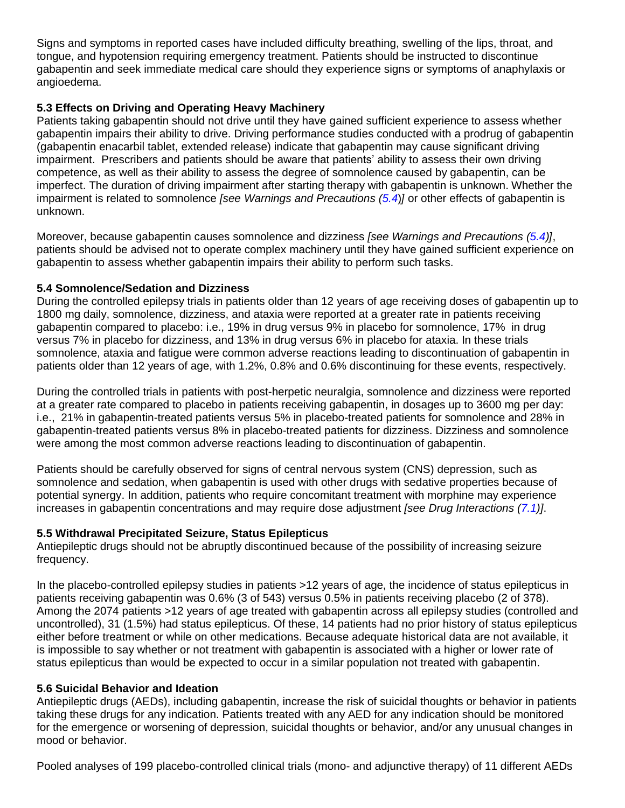Signs and symptoms in reported cases have included difficulty breathing, swelling of the lips, throat, and tongue, and hypotension requiring emergency treatment. Patients should be instructed to discontinue gabapentin and seek immediate medical care should they experience signs or symptoms of anaphylaxis or angioedema.

## <span id="page-4-1"></span>**5.3 Effects on Driving and Operating Heavy Machinery**

Patients taking gabapentin should not drive until they have gained sufficient experience to assess whether gabapentin impairs their ability to drive. Driving performance studies conducted with a prodrug of gabapentin (gabapentin enacarbil tablet, extended release) indicate that gabapentin may cause significant driving impairment. Prescribers and patients should be aware that patients' ability to assess their own driving competence, as well as their ability to assess the degree of somnolence caused by gabapentin, can be imperfect. The duration of driving impairment after starting therapy with gabapentin is unknown. Whether the impairment is related to somnolence *[see Warnings and Precautions [\(5.4](#page-4-2)*)*]* or other effects of gabapentin is unknown.

Moreover, because gabapentin causes somnolence and dizziness *[see Warnings and Precautions [\(5.4\)](#page-4-2)]*, patients should be advised not to operate complex machinery until they have gained sufficient experience on gabapentin to assess whether gabapentin impairs their ability to perform such tasks.

#### <span id="page-4-2"></span>**5.4 Somnolence/Sedation and Dizziness**

During the controlled epilepsy trials in patients older than 12 years of age receiving doses of gabapentin up to 1800 mg daily, somnolence, dizziness, and ataxia were reported at a greater rate in patients receiving gabapentin compared to placebo: i.e., 19% in drug versus 9% in placebo for somnolence, 17% in drug versus 7% in placebo for dizziness, and 13% in drug versus 6% in placebo for ataxia. In these trials somnolence, ataxia and fatigue were common adverse reactions leading to discontinuation of gabapentin in patients older than 12 years of age, with 1.2%, 0.8% and 0.6% discontinuing for these events, respectively.

During the controlled trials in patients with post-herpetic neuralgia, somnolence and dizziness were reported at a greater rate compared to placebo in patients receiving gabapentin, in dosages up to 3600 mg per day: i.e., 21% in gabapentin-treated patients versus 5% in placebo-treated patients for somnolence and 28% in gabapentin-treated patients versus 8% in placebo-treated patients for dizziness. Dizziness and somnolence were among the most common adverse reactions leading to discontinuation of gabapentin.

Patients should be carefully observed for signs of central nervous system (CNS) depression, such as somnolence and sedation, when gabapentin is used with other drugs with sedative properties because of potential synergy. In addition, patients who require concomitant treatment with morphine may experience increases in gabapentin concentrations and may require dose adjustment *[see Drug Interactions [\(7.1\)](#page-10-2)]*.

#### <span id="page-4-3"></span>**5.5 Withdrawal Precipitated Seizure, Status Epilepticus**

Antiepileptic drugs should not be abruptly discontinued because of the possibility of increasing seizure frequency.

In the placebo-controlled epilepsy studies in patients >12 years of age, the incidence of status epilepticus in patients receiving gabapentin was 0.6% (3 of 543) versus 0.5% in patients receiving placebo (2 of 378). Among the 2074 patients >12 years of age treated with gabapentin across all epilepsy studies (controlled and uncontrolled), 31 (1.5%) had status epilepticus. Of these, 14 patients had no prior history of status epilepticus either before treatment or while on other medications. Because adequate historical data are not available, it is impossible to say whether or not treatment with gabapentin is associated with a higher or lower rate of status epilepticus than would be expected to occur in a similar population not treated with gabapentin.

#### <span id="page-4-0"></span>**5.6 Suicidal Behavior and Ideation**

Antiepileptic drugs (AEDs), including gabapentin, increase the risk of suicidal thoughts or behavior in patients taking these drugs for any indication. Patients treated with any AED for any indication should be monitored for the emergence or worsening of depression, suicidal thoughts or behavior, and/or any unusual changes in mood or behavior.

Pooled analyses of 199 placebo-controlled clinical trials (mono- and adjunctive therapy) of 11 different AEDs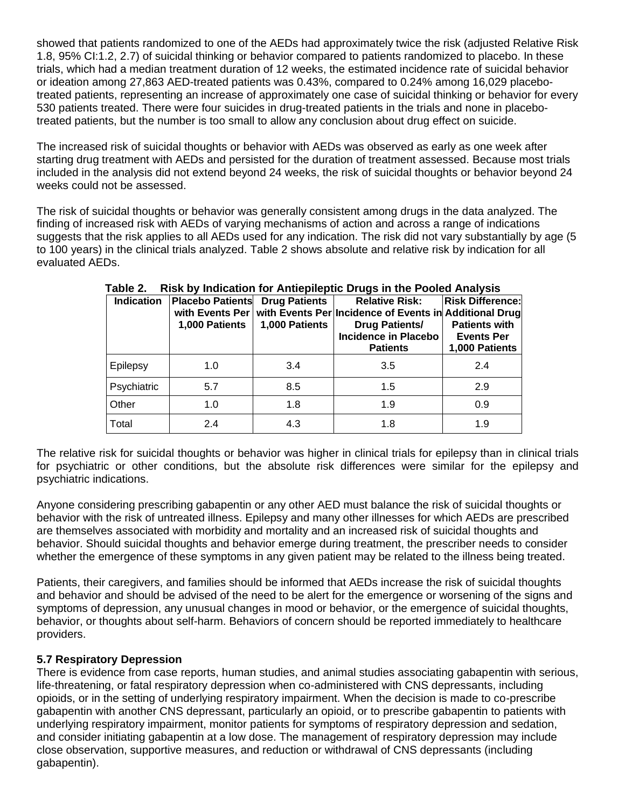showed that patients randomized to one of the AEDs had approximately twice the risk (adjusted Relative Risk 1.8, 95% CI:1.2, 2.7) of suicidal thinking or behavior compared to patients randomized to placebo. In these trials, which had a median treatment duration of 12 weeks, the estimated incidence rate of suicidal behavior or ideation among 27,863 AED-treated patients was 0.43%, compared to 0.24% among 16,029 placebotreated patients, representing an increase of approximately one case of suicidal thinking or behavior for every 530 patients treated. There were four suicides in drug-treated patients in the trials and none in placebotreated patients, but the number is too small to allow any conclusion about drug effect on suicide.

The increased risk of suicidal thoughts or behavior with AEDs was observed as early as one week after starting drug treatment with AEDs and persisted for the duration of treatment assessed. Because most trials included in the analysis did not extend beyond 24 weeks, the risk of suicidal thoughts or behavior beyond 24 weeks could not be assessed.

The risk of suicidal thoughts or behavior was generally consistent among drugs in the data analyzed. The finding of increased risk with AEDs of varying mechanisms of action and across a range of indications suggests that the risk applies to all AEDs used for any indication. The risk did not vary substantially by age (5 to 100 years) in the clinical trials analyzed. Table 2 shows absolute and relative risk by indication for all evaluated AEDs.

| <b>Indication</b> | <b>Placebo Patients</b><br>with Events Per<br>1,000 Patients | <b>Drug Patients</b><br>1,000 Patients | <b>Relative Risk:</b><br>with Events Per Incidence of Events in Additional Drug<br><b>Drug Patients/</b><br><b>Incidence in Placebo</b><br><b>Patients</b> | <b>Risk Difference:</b><br><b>Patients with</b><br><b>Events Per</b><br>1,000 Patients |
|-------------------|--------------------------------------------------------------|----------------------------------------|------------------------------------------------------------------------------------------------------------------------------------------------------------|----------------------------------------------------------------------------------------|
| Epilepsy          | 1.0                                                          | 3.4                                    | 3.5                                                                                                                                                        | 2.4                                                                                    |
| Psychiatric       | 5.7                                                          | 8.5                                    | 1.5                                                                                                                                                        | 2.9                                                                                    |
| Other             | 1.0                                                          | 1.8                                    | 1.9                                                                                                                                                        | 0.9                                                                                    |
| Total             | 2.4                                                          | 4.3                                    | 1.8                                                                                                                                                        | 1.9                                                                                    |

## **Table 2. Risk by Indication for Antiepileptic Drugs in the Pooled Analysis**

The relative risk for suicidal thoughts or behavior was higher in clinical trials for epilepsy than in clinical trials for psychiatric or other conditions, but the absolute risk differences were similar for the epilepsy and psychiatric indications.

Anyone considering prescribing gabapentin or any other AED must balance the risk of suicidal thoughts or behavior with the risk of untreated illness. Epilepsy and many other illnesses for which AEDs are prescribed are themselves associated with morbidity and mortality and an increased risk of suicidal thoughts and behavior. Should suicidal thoughts and behavior emerge during treatment, the prescriber needs to consider whether the emergence of these symptoms in any given patient may be related to the illness being treated.

Patients, their caregivers, and families should be informed that AEDs increase the risk of suicidal thoughts and behavior and should be advised of the need to be alert for the emergence or worsening of the signs and symptoms of depression, any unusual changes in mood or behavior, or the emergence of suicidal thoughts, behavior, or thoughts about self-harm. Behaviors of concern should be reported immediately to healthcare providers.

## **5.7 Respiratory Depression**

There is evidence from case reports, human studies, and animal studies associating gabapentin with serious, life-threatening, or fatal respiratory depression when co-administered with CNS depressants, including opioids, or in the setting of underlying respiratory impairment. When the decision is made to co-prescribe gabapentin with another CNS depressant, particularly an opioid, or to prescribe gabapentin to patients with underlying respiratory impairment, monitor patients for symptoms of respiratory depression and sedation, and consider initiating gabapentin at a low dose. The management of respiratory depression may include close observation, supportive measures, and reduction or withdrawal of CNS depressants (including gabapentin).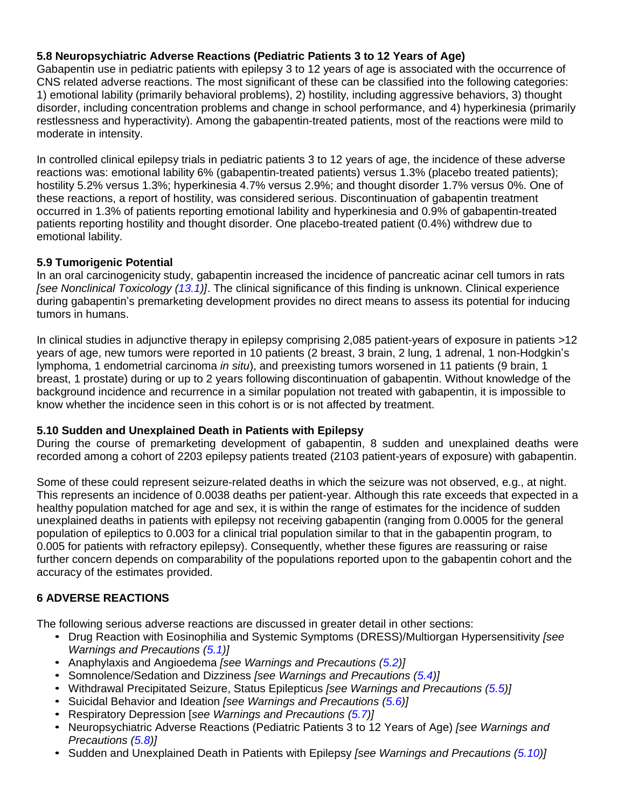## <span id="page-6-0"></span>**5.8 Neuropsychiatric Adverse Reactions (Pediatric Patients 3 to 12 Years of Age)**

Gabapentin use in pediatric patients with epilepsy 3 to 12 years of age is associated with the occurrence of CNS related adverse reactions. The most significant of these can be classified into the following categories: 1) emotional lability (primarily behavioral problems), 2) hostility, including aggressive behaviors, 3) thought disorder, including concentration problems and change in school performance, and 4) hyperkinesia (primarily restlessness and hyperactivity). Among the gabapentin-treated patients, most of the reactions were mild to moderate in intensity.

In controlled clinical epilepsy trials in pediatric patients 3 to 12 years of age, the incidence of these adverse reactions was: emotional lability 6% (gabapentin-treated patients) versus 1.3% (placebo treated patients); hostility 5.2% versus 1.3%; hyperkinesia 4.7% versus 2.9%; and thought disorder 1.7% versus 0%. One of these reactions, a report of hostility, was considered serious. Discontinuation of gabapentin treatment occurred in 1.3% of patients reporting emotional lability and hyperkinesia and 0.9% of gabapentin-treated patients reporting hostility and thought disorder. One placebo-treated patient (0.4%) withdrew due to emotional lability.

## <span id="page-6-1"></span>**5.9 Tumorigenic Potential**

In an oral carcinogenicity study, gabapentin increased the incidence of pancreatic acinar cell tumors in rats *[see Nonclinical Toxicology [\(13.1\)](#page-16-1)]*. The clinical significance of this finding is unknown. Clinical experience during gabapentin's premarketing development provides no direct means to assess its potential for inducing tumors in humans.

In clinical studies in adjunctive therapy in epilepsy comprising 2,085 patient-years of exposure in patients >12 years of age, new tumors were reported in 10 patients (2 breast, 3 brain, 2 lung, 1 adrenal, 1 non-Hodgkin's lymphoma, 1 endometrial carcinoma *in situ*), and preexisting tumors worsened in 11 patients (9 brain, 1 breast, 1 prostate) during or up to 2 years following discontinuation of gabapentin. Without knowledge of the background incidence and recurrence in a similar population not treated with gabapentin, it is impossible to know whether the incidence seen in this cohort is or is not affected by treatment.

#### <span id="page-6-2"></span>**5.10 Sudden and Unexplained Death in Patients with Epilepsy**

During the course of premarketing development of gabapentin, 8 sudden and unexplained deaths were recorded among a cohort of 2203 epilepsy patients treated (2103 patient-years of exposure) with gabapentin.

Some of these could represent seizure-related deaths in which the seizure was not observed, e.g., at night. This represents an incidence of 0.0038 deaths per patient-year. Although this rate exceeds that expected in a healthy population matched for age and sex, it is within the range of estimates for the incidence of sudden unexplained deaths in patients with epilepsy not receiving gabapentin (ranging from 0.0005 for the general population of epileptics to 0.003 for a clinical trial population similar to that in the gabapentin program, to 0.005 for patients with refractory epilepsy). Consequently, whether these figures are reassuring or raise further concern depends on comparability of the populations reported upon to the gabapentin cohort and the accuracy of the estimates provided.

## <span id="page-6-3"></span>**6 ADVERSE REACTIONS**

The following serious adverse reactions are discussed in greater detail in other sections:

- Drug Reaction with Eosinophilia and Systemic Symptoms (DRESS)/Multiorgan Hypersensitivity *[see Warnings and Precautions [\(5.1\)](#page-3-3)]*
- Anaphylaxis and Angioedema *[see Warnings and Precautions [\(5.2\)](#page-3-4)]*
- Somnolence/Sedation and Dizziness *[see Warnings and Precautions [\(5.4\)](#page-4-2)]*
- Withdrawal Precipitated Seizure, Status Epilepticus *[see Warnings and Precautions [\(5.5\)](#page-4-3)]*
- Suicidal Behavior and Ideation *[see Warnings and Precautions [\(5.6\)](#page-4-0)]*
- Respiratory Depression [*see Warnings and Precautions [\(5.7\)](#page-6-0)]*
- Neuropsychiatric Adverse Reactions (Pediatric Patients 3 to 12 Years of Age) *[see Warnings and Precautions [\(5.8\)](#page-6-1)]*
- Sudden and Unexplained Death in Patients with Epilepsy *[see Warnings and Precautions [\(5.10\)](#page-6-2)]*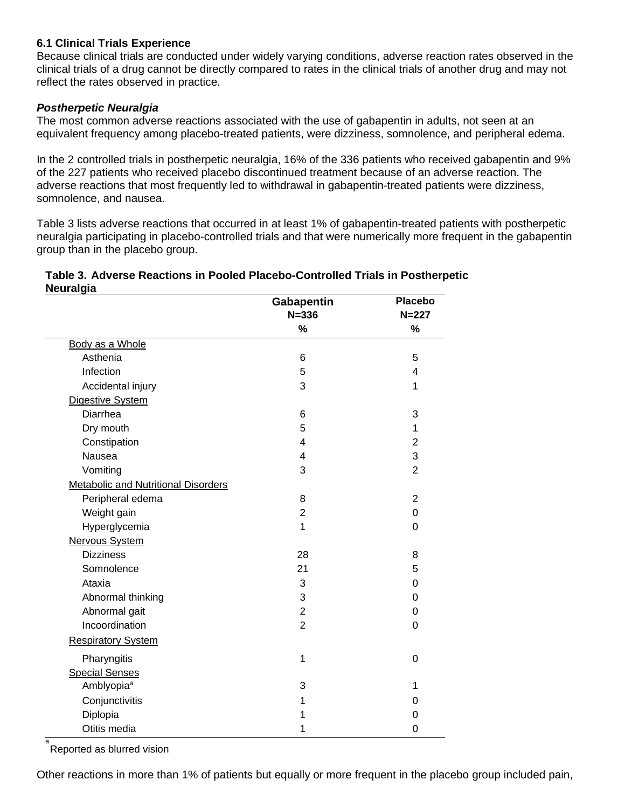#### <span id="page-7-0"></span>**6.1 Clinical Trials Experience**

Because clinical trials are conducted under widely varying conditions, adverse reaction rates observed in the clinical trials of a drug cannot be directly compared to rates in the clinical trials of another drug and may not reflect the rates observed in practice.

#### *Postherpetic Neuralgia*

The most common adverse reactions associated with the use of gabapentin in adults, not seen at an equivalent frequency among placebo-treated patients, were dizziness, somnolence, and peripheral edema.

In the 2 controlled trials in postherpetic neuralgia, 16% of the 336 patients who received gabapentin and 9% of the 227 patients who received placebo discontinued treatment because of an adverse reaction. The adverse reactions that most frequently led to withdrawal in gabapentin-treated patients were dizziness, somnolence, and nausea.

Table 3 lists adverse reactions that occurred in at least 1% of gabapentin-treated patients with postherpetic neuralgia participating in placebo-controlled trials and that were numerically more frequent in the gabapentin group than in the placebo group.

| Table 3. Adverse Reactions in Pooled Placebo-Controlled Trials in Postherpetic |  |
|--------------------------------------------------------------------------------|--|
| Neuralgia                                                                      |  |

|                                            | Gabapentin     | <b>Placebo</b> |
|--------------------------------------------|----------------|----------------|
|                                            | $N = 336$      | $N = 227$      |
|                                            | $\%$           | %              |
| Body as a Whole                            |                |                |
| Asthenia                                   | 6              | 5              |
| Infection                                  | 5              | 4              |
| Accidental injury                          | 3              | 1              |
| Digestive System                           |                |                |
| Diarrhea                                   | 6              | 3              |
| Dry mouth                                  | 5              | 1              |
| Constipation                               | 4              | $\overline{2}$ |
| Nausea                                     | 4              | 3              |
| Vomiting                                   | 3              | $\overline{2}$ |
| <b>Metabolic and Nutritional Disorders</b> |                |                |
| Peripheral edema                           | 8              | $\overline{2}$ |
| Weight gain                                | $\overline{2}$ | 0              |
| Hyperglycemia                              | 1              | $\mathbf 0$    |
| Nervous System                             |                |                |
| <b>Dizziness</b>                           | 28             | 8              |
| Somnolence                                 | 21             | 5              |
| Ataxia                                     | 3              | 0              |
| Abnormal thinking                          | 3              | 0              |
| Abnormal gait                              | $\overline{2}$ | 0              |
| Incoordination                             | $\overline{2}$ | $\mathbf 0$    |
| <b>Respiratory System</b>                  |                |                |
| Pharyngitis                                | 1              | $\overline{0}$ |
| <b>Special Senses</b>                      |                |                |
| Amblyopia <sup>a</sup>                     | 3              | 1              |
| Conjunctivitis                             | 1              | 0              |
| Diplopia                                   | 1              | 0              |
| Otitis media                               | 1              | 0              |

<sub>a</sub><br>Reported as blurred vision

Other reactions in more than 1% of patients but equally or more frequent in the placebo group included pain,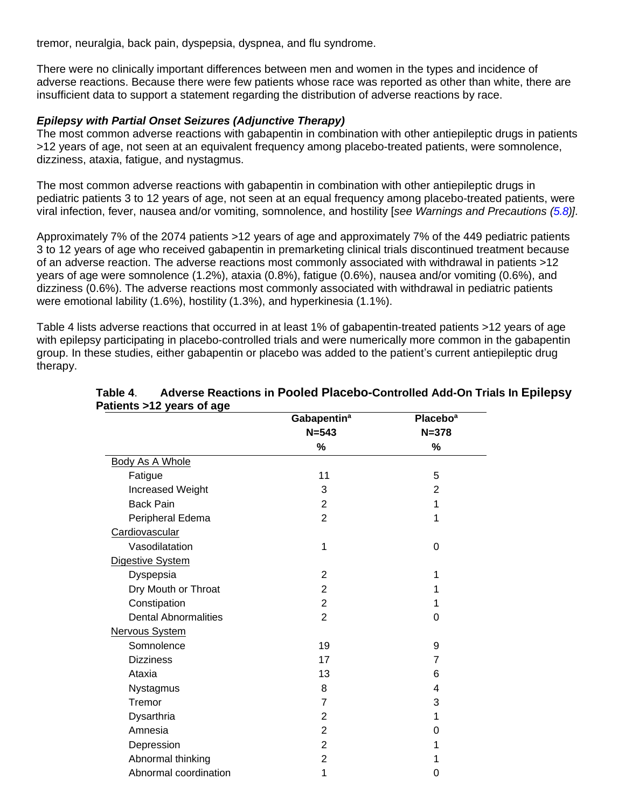tremor, neuralgia, back pain, dyspepsia, dyspnea, and flu syndrome.

There were no clinically important differences between men and women in the types and incidence of adverse reactions. Because there were few patients whose race was reported as other than white, there are insufficient data to support a statement regarding the distribution of adverse reactions by race.

#### *Epilepsy with Partial Onset Seizures (Adjunctive Therapy)*

The most common adverse reactions with gabapentin in combination with other antiepileptic drugs in patients >12 years of age, not seen at an equivalent frequency among placebo-treated patients, were somnolence, dizziness, ataxia, fatigue, and nystagmus.

The most common adverse reactions with gabapentin in combination with other antiepileptic drugs in pediatric patients 3 to 12 years of age, not seen at an equal frequency among placebo-treated patients, were viral infection, fever, nausea and/or vomiting, somnolence, and hostility [*see Warnings and Precautions [\(5.8\)](#page-6-0)].*

Approximately 7% of the 2074 patients >12 years of age and approximately 7% of the 449 pediatric patients 3 to 12 years of age who received gabapentin in premarketing clinical trials discontinued treatment because of an adverse reaction. The adverse reactions most commonly associated with withdrawal in patients >12 years of age were somnolence (1.2%), ataxia (0.8%), fatigue (0.6%), nausea and/or vomiting (0.6%), and dizziness (0.6%). The adverse reactions most commonly associated with withdrawal in pediatric patients were emotional lability (1.6%), hostility (1.3%), and hyperkinesia (1.1%).

Table 4 lists adverse reactions that occurred in at least 1% of gabapentin-treated patients >12 years of age with epilepsy participating in placebo-controlled trials and were numerically more common in the gabapentin group. In these studies, either gabapentin or placebo was added to the patient's current antiepileptic drug therapy.

|                             | Gabapentin <sup>a</sup> | Placebo <sup>a</sup> |
|-----------------------------|-------------------------|----------------------|
|                             | $N = 543$               | $N = 378$            |
|                             | %                       | %                    |
| Body As A Whole             |                         |                      |
| Fatigue                     | 11                      | 5                    |
| Increased Weight            | 3                       | 2                    |
| <b>Back Pain</b>            | 2                       | 1                    |
| Peripheral Edema            | $\overline{2}$          | 1                    |
| Cardiovascular              |                         |                      |
| Vasodilatation              | 1                       | 0                    |
| Digestive System            |                         |                      |
| Dyspepsia                   | 2                       | 1                    |
| Dry Mouth or Throat         | $\overline{2}$          | 1                    |
| Constipation                | $\overline{2}$          | 1                    |
| <b>Dental Abnormalities</b> | $\overline{2}$          | 0                    |
| Nervous System              |                         |                      |
| Somnolence                  | 19                      | 9                    |
| <b>Dizziness</b>            | 17                      | $\overline{7}$       |
| Ataxia                      | 13                      | 6                    |
| Nystagmus                   | 8                       | 4                    |
| Tremor                      | 7                       | 3                    |
| Dysarthria                  | 2                       | 1                    |
| Amnesia                     | $\overline{2}$          | 0                    |
| Depression                  | $\overline{2}$          | 1                    |
| Abnormal thinking           | $\overline{2}$          |                      |
| Abnormal coordination       | 1                       | 0                    |

#### **Table 4**. **Adverse Reactions in Pooled Placebo-Controlled Add-On Trials In Epilepsy Patients >12 years of age**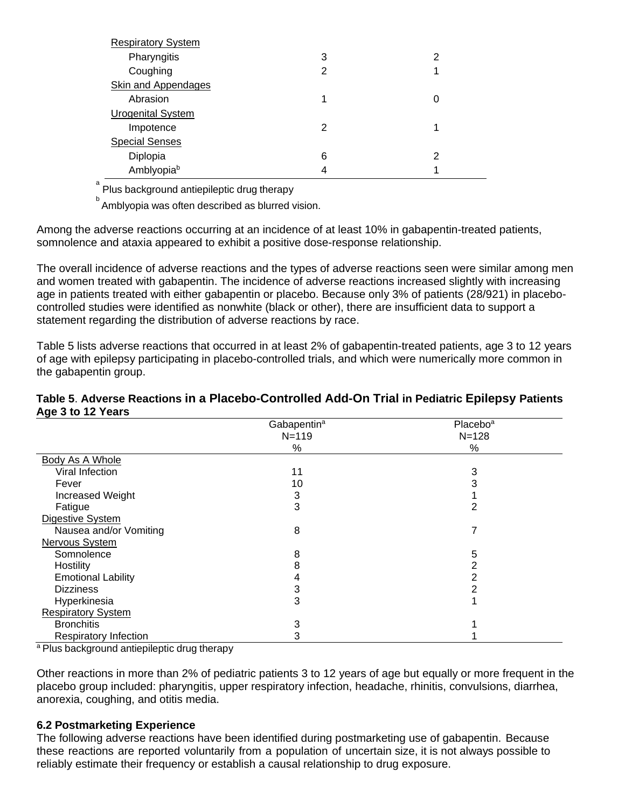| <b>Respiratory System</b>  |   |   |
|----------------------------|---|---|
| Pharyngitis                | 3 | 2 |
| Coughing                   | 2 |   |
| <b>Skin and Appendages</b> |   |   |
| Abrasion                   | 1 | 0 |
| <b>Urogenital System</b>   |   |   |
| Impotence                  | 2 |   |
| <b>Special Senses</b>      |   |   |
| Diplopia                   | 6 | 2 |
| Amblyopiab                 |   |   |

a Plus background antiepileptic drug therapy

**b**<br>Amblyopia was often described as blurred vision.

Among the adverse reactions occurring at an incidence of at least 10% in gabapentin-treated patients, somnolence and ataxia appeared to exhibit a positive dose-response relationship.

The overall incidence of adverse reactions and the types of adverse reactions seen were similar among men and women treated with gabapentin. The incidence of adverse reactions increased slightly with increasing age in patients treated with either gabapentin or placebo. Because only 3% of patients (28/921) in placebocontrolled studies were identified as nonwhite (black or other), there are insufficient data to support a statement regarding the distribution of adverse reactions by race.

Table 5 lists adverse reactions that occurred in at least 2% of gabapentin-treated patients, age 3 to 12 years of age with epilepsy participating in placebo-controlled trials, and which were numerically more common in the gabapentin group.

#### **Table 5**. **Adverse Reactions in a Placebo-Controlled Add-On Trial in Pediatric Epilepsy Patients Age 3 to 12 Years**

|                              | Gabapentin <sup>a</sup> | Placebo <sup>a</sup> |
|------------------------------|-------------------------|----------------------|
|                              | $N = 119$               | $N = 128$            |
|                              | %                       | %                    |
| Body As A Whole              |                         |                      |
| Viral Infection              | 11                      | 3                    |
| Fever                        | 10                      |                      |
| Increased Weight             | 3                       |                      |
| Fatigue                      | 3                       | 2                    |
| Digestive System             |                         |                      |
| Nausea and/or Vomiting       | 8                       |                      |
| Nervous System               |                         |                      |
| Somnolence                   | 8                       | 5                    |
| Hostility                    | 8                       | 2                    |
| <b>Emotional Lability</b>    | 4                       | 2                    |
| <b>Dizziness</b>             | 3                       |                      |
| Hyperkinesia                 | 3                       |                      |
| <b>Respiratory System</b>    |                         |                      |
| <b>Bronchitis</b>            | 3                       |                      |
| <b>Respiratory Infection</b> | 3                       |                      |

<sup>a</sup> Plus background antiepileptic drug therapy

Other reactions in more than 2% of pediatric patients 3 to 12 years of age but equally or more frequent in the placebo group included: pharyngitis, upper respiratory infection, headache, rhinitis, convulsions, diarrhea, anorexia, coughing, and otitis media.

#### <span id="page-9-0"></span>**6.2 Postmarketing Experience**

The following adverse reactions have been identified during postmarketing use of gabapentin. Because these reactions are reported voluntarily from a population of uncertain size, it is not always possible to reliably estimate their frequency or establish a causal relationship to drug exposure.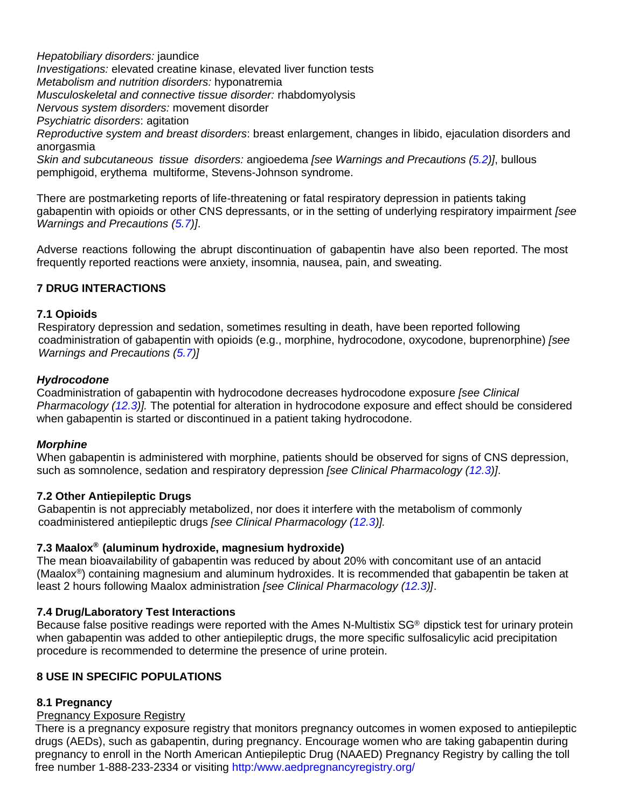*Hepatobiliary disorders:* jaundice *Investigations:* elevated creatine kinase, elevated liver function tests *Metabolism and nutrition disorders:* hyponatremia *Musculoskeletal and connective tissue disorder:* rhabdomyolysis *Nervous system disorders:* movement disorder *Psychiatric disorders*: agitation *Reproductive system and breast disorders*: breast enlargement, changes in libido, ejaculation disorders and anorgasmia *Skin and subcutaneous tissue disorders:* angioedema *[see Warnings and Precautions [\(5.2\)](#page-3-4)]*, bullous pemphigoid, erythema multiforme, Stevens-Johnson syndrome.

There are postmarketing reports of life-threatening or fatal respiratory depression in patients taking gabapentin with opioids or other CNS depressants, or in the setting of underlying respiratory impairment *[see Warnings and Precautions [\(5.7\)](#page-6-0)]*.

Adverse reactions following the abrupt discontinuation of gabapentin have also been reported. The most frequently reported reactions were anxiety, insomnia, nausea, pain, and sweating.

## <span id="page-10-1"></span>**7 DRUG INTERACTIONS**

#### <span id="page-10-2"></span>**7.1 Opioids**

 Respiratory depression and sedation, sometimes resulting in death, have been reported following coadministration of gabapentin with opioids (e.g., morphine, hydrocodone, oxycodone, buprenorphine) *[see Warnings and Precautions [\(5.7\)](#page-6-0)]*

#### *Hydrocodone*

Coadministration of gabapentin with hydrocodone decreases hydrocodone exposure *[see Clinical Pharmacology [\(12.3\)](#page-13-3)].* The potential for alteration in hydrocodone exposure and effect should be considered when gabapentin is started or discontinued in a patient taking hydrocodone.

#### *Morphine*

When gabapentin is administered with morphine, patients should be observed for signs of CNS depression, such as somnolence, sedation and respiratory depression *[see Clinical Pharmacology [\(12.3\)](#page-13-3)]*.

#### <span id="page-10-3"></span>**7.2 Other Antiepileptic Drugs**

 Gabapentin is not appreciably metabolized, nor does it interfere with the metabolism of commonly coadministered antiepileptic drugs *[see Clinical Pharmacology [\(12.3\)](#page-13-3)].*

#### <span id="page-10-4"></span>**7.3 Maalox® (aluminum hydroxide, magnesium hydroxide)**

The mean bioavailability of gabapentin was reduced by about 20% with concomitant use of an antacid (Maalox ®) containing magnesium and aluminum hydroxides. It is recommended that gabapentin be taken at least 2 hours following Maalox administration *[see Clinical Pharmacology [\(12.3\)](#page-13-3)]*.

#### <span id="page-10-5"></span>**7.4 Drug/Laboratory Test Interactions**

Because false positive readings were reported with the Ames N-Multistix  $SG<sup>®</sup>$  dipstick test for urinary protein when gabapentin was added to other antiepileptic drugs, the more specific sulfosalicylic acid precipitation procedure is recommended to determine the presence of urine protein.

#### <span id="page-10-6"></span>**8 USE IN SPECIFIC POPULATIONS**

#### <span id="page-10-0"></span>**8.1 Pregnancy**

#### Pregnancy Exposure Registry

There is a pregnancy exposure registry that monitors pregnancy outcomes in women exposed to antiepileptic drugs (AEDs), such as gabapentin, during pregnancy. Encourage women who are taking gabapentin during pregnancy to enroll in the North American Antiepileptic Drug (NAAED) Pregnancy Registry by calling the toll free number 1-888-233-2334 or visiting [http:/www.aedpregnancyregistry.org/](http://www.aedpregnancyregistry.org/)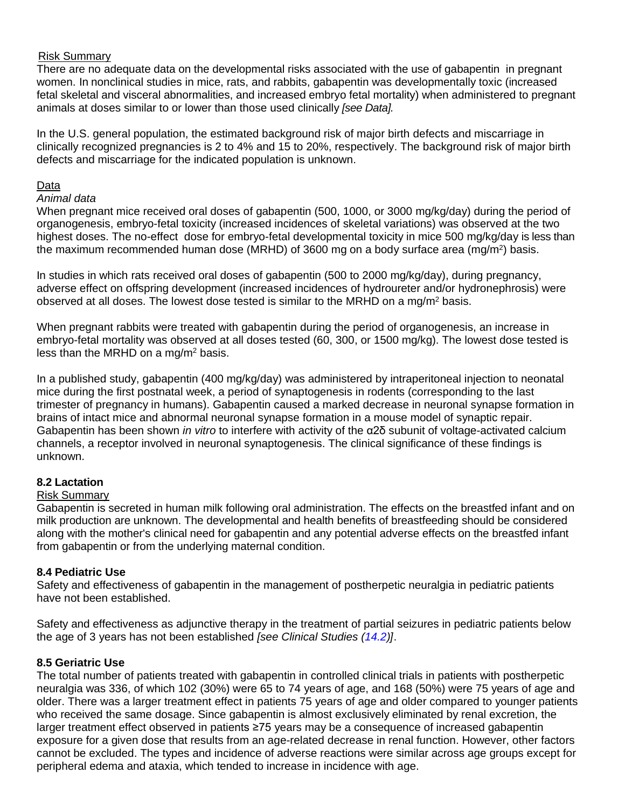#### Risk Summary

There are no adequate data on the developmental risks associated with the use of gabapentin in pregnant women. In nonclinical studies in mice, rats, and rabbits, gabapentin was developmentally toxic (increased fetal skeletal and visceral abnormalities, and increased embryo fetal mortality) when administered to pregnant animals at doses similar to or lower than those used clinically *[see Data].*

In the U.S. general population, the estimated background risk of major birth defects and miscarriage in clinically recognized pregnancies is 2 to 4% and 15 to 20%, respectively. The background risk of major birth defects and miscarriage for the indicated population is unknown.

#### Data

#### *Animal data*

When pregnant mice received oral doses of gabapentin (500, 1000, or 3000 mg/kg/day) during the period of organogenesis, embryo-fetal toxicity (increased incidences of skeletal variations) was observed at the two highest doses. The no-effect dose for embryo-fetal developmental toxicity in mice 500 mg/kg/day is less than the maximum recommended human dose (MRHD) of 3600 mg on a body surface area (mg/m<sup>2</sup>) basis.

In studies in which rats received oral doses of gabapentin (500 to 2000 mg/kg/day), during pregnancy, adverse effect on offspring development (increased incidences of hydroureter and/or hydronephrosis) were observed at all doses. The lowest dose tested is similar to the MRHD on a mg/m<sup>2</sup> basis.

When pregnant rabbits were treated with gabapentin during the period of organogenesis, an increase in embryo-fetal mortality was observed at all doses tested (60, 300, or 1500 mg/kg). The lowest dose tested is less than the MRHD on a mg/m<sup>2</sup> basis.

In a published study, gabapentin (400 mg/kg/day) was administered by intraperitoneal injection to neonatal mice during the first postnatal week, a period of synaptogenesis in rodents (corresponding to the last trimester of pregnancy in humans). Gabapentin caused a marked decrease in neuronal synapse formation in brains of intact mice and abnormal neuronal synapse formation in a mouse model of synaptic repair. Gabapentin has been shown *in vitro* to interfere with activity of the α2δ subunit of voltage-activated calcium channels, a receptor involved in neuronal synaptogenesis. The clinical significance of these findings is unknown.

#### <span id="page-11-0"></span>**8.2 Lactation**

#### Risk Summary

Gabapentin is secreted in human milk following oral administration. The effects on the breastfed infant and on milk production are unknown. The developmental and health benefits of breastfeeding should be considered along with the mother's clinical need for gabapentin and any potential adverse effects on the breastfed infant from gabapentin or from the underlying maternal condition.

#### <span id="page-11-1"></span>**8.4 Pediatric Use**

Safety and effectiveness of gabapentin in the management of postherpetic neuralgia in pediatric patients have not been established.

Safety and effectiveness as adjunctive therapy in the treatment of partial seizures in pediatric patients below the age of 3 years has not been established *[see Clinical Studies [\(14.2\)](#page-18-0)]*.

#### <span id="page-11-2"></span>**8.5 Geriatric Use**

The total number of patients treated with gabapentin in controlled clinical trials in patients with postherpetic neuralgia was 336, of which 102 (30%) were 65 to 74 years of age, and 168 (50%) were 75 years of age and older. There was a larger treatment effect in patients 75 years of age and older compared to younger patients who received the same dosage. Since gabapentin is almost exclusively eliminated by renal excretion, the larger treatment effect observed in patients ≥75 years may be a consequence of increased gabapentin exposure for a given dose that results from an age-related decrease in renal function. However, other factors cannot be excluded. The types and incidence of adverse reactions were similar across age groups except for peripheral edema and ataxia, which tended to increase in incidence with age.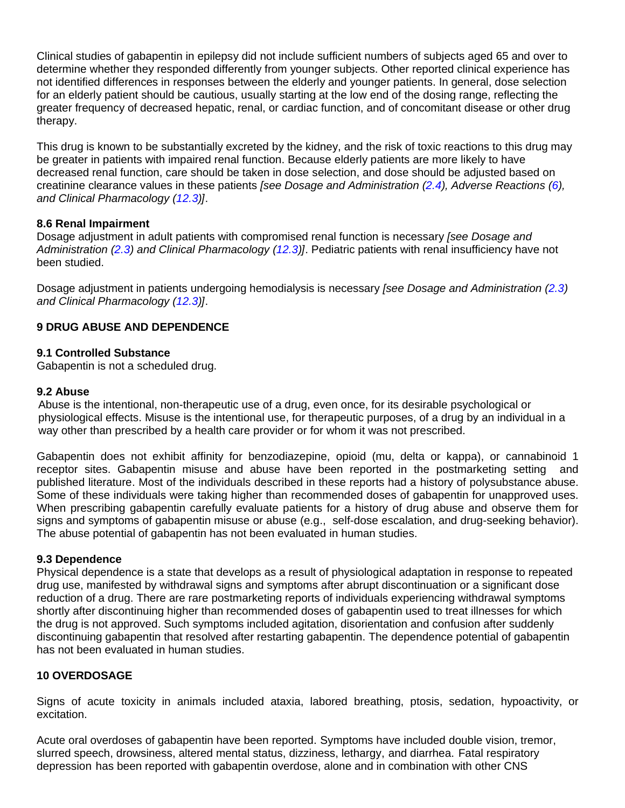Clinical studies of gabapentin in epilepsy did not include sufficient numbers of subjects aged 65 and over to determine whether they responded differently from younger subjects. Other reported clinical experience has not identified differences in responses between the elderly and younger patients. In general, dose selection for an elderly patient should be cautious, usually starting at the low end of the dosing range, reflecting the greater frequency of decreased hepatic, renal, or cardiac function, and of concomitant disease or other drug therapy.

This drug is known to be substantially excreted by the kidney, and the risk of toxic reactions to this drug may be greater in patients with impaired renal function. Because elderly patients are more likely to have decreased renal function, care should be taken in dose selection, and dose should be adjusted based on creatinine clearance values in these patients *[see Dosage and Administration [\(2.4\)](#page-3-0), Adverse Reactions [\(6\)](#page-6-3), and Clinical Pharmacology [\(12.3\)](#page-13-3)]*.

#### <span id="page-12-0"></span>**8.6 Renal Impairment**

Dosage adjustment in adult patients with compromised renal function is necessary *[see Dosage and Administration [\(2.3\)](#page-2-3) and Clinical Pharmacology [\(12.3\)](#page-13-3)]*. Pediatric patients with renal insufficiency have not been studied.

Dosage adjustment in patients undergoing hemodialysis is necessary *[see Dosage and Administration [\(2.3\)](#page-2-3) and Clinical Pharmacology [\(12.3\)](#page-13-3)]*.

## <span id="page-12-1"></span>**9 DRUG ABUSE AND DEPENDENCE**

#### <span id="page-12-2"></span>**9.1 Controlled Substance**

Gabapentin is not a scheduled drug.

#### <span id="page-12-3"></span>**9.2 Abuse**

 Abuse is the intentional, non-therapeutic use of a drug, even once, for its desirable psychological or physiological effects. Misuse is the intentional use, for therapeutic purposes, of a drug by an individual in a way other than prescribed by a health care provider or for whom it was not prescribed.

Gabapentin does not exhibit affinity for benzodiazepine, opioid (mu, delta or kappa), or cannabinoid 1 receptor sites. Gabapentin misuse and abuse have been reported in the postmarketing setting and published literature. Most of the individuals described in these reports had a history of polysubstance abuse. Some of these individuals were taking higher than recommended doses of gabapentin for unapproved uses. When prescribing gabapentin carefully evaluate patients for a history of drug abuse and observe them for signs and symptoms of gabapentin misuse or abuse (e.g., self-dose escalation, and drug-seeking behavior). The abuse potential of gabapentin has not been evaluated in human studies.

#### <span id="page-12-4"></span>**9.3 Dependence**

Physical dependence is a state that develops as a result of physiological adaptation in response to repeated drug use, manifested by withdrawal signs and symptoms after abrupt discontinuation or a significant dose reduction of a drug. There are rare postmarketing reports of individuals experiencing withdrawal symptoms shortly after discontinuing higher than recommended doses of gabapentin used to treat illnesses for which the drug is not approved. Such symptoms included agitation, disorientation and confusion after suddenly discontinuing gabapentin that resolved after restarting gabapentin. The dependence potential of gabapentin has not been evaluated in human studies.

#### <span id="page-12-5"></span>**10 OVERDOSAGE**

Signs of acute toxicity in animals included ataxia, labored breathing, ptosis, sedation, hypoactivity, or excitation.

Acute oral overdoses of gabapentin have been reported. Symptoms have included double vision, tremor, slurred speech, drowsiness, altered mental status, dizziness, lethargy, and diarrhea. Fatal respiratory depression has been reported with gabapentin overdose, alone and in combination with other CNS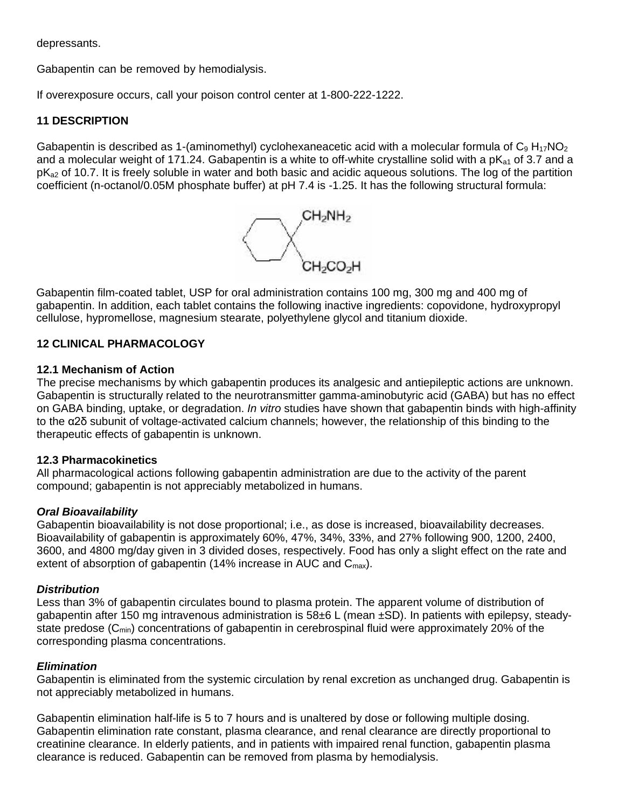depressants.

Gabapentin can be removed by hemodialysis.

If overexposure occurs, call your poison control center at 1-800-222-1222.

#### <span id="page-13-0"></span>**11 DESCRIPTION**

Gabapentin is described as 1-(aminomethyl) cyclohexaneacetic acid with a molecular formula of  $C_9 H_{17}NO_2$ and a molecular weight of 171.24. Gabapentin is a white to off-white crystalline solid with a  $pK_{a1}$  of 3.7 and a pK<sub>a2</sub> of 10.7. It is freely soluble in water and both basic and acidic aqueous solutions. The log of the partition coefficient (n-octanol/0.05M phosphate buffer) at pH 7.4 is -1.25. It has the following structural formula:



Gabapentin film-coated tablet, USP for oral administration contains 100 mg, 300 mg and 400 mg of gabapentin. In addition, each tablet contains the following inactive ingredients: copovidone, hydroxypropyl cellulose, hypromellose, magnesium stearate, polyethylene glycol and titanium dioxide.

## <span id="page-13-1"></span>**12 CLINICAL PHARMACOLOGY**

#### <span id="page-13-2"></span>**12.1 Mechanism of Action**

The precise mechanisms by which gabapentin produces its analgesic and antiepileptic actions are unknown. Gabapentin is structurally related to the neurotransmitter gamma-aminobutyric acid (GABA) but has no effect on GABA binding, uptake, or degradation. *In vitro* studies have shown that gabapentin binds with high-affinity to the α2δ subunit of voltage-activated calcium channels; however, the relationship of this binding to the therapeutic effects of gabapentin is unknown.

#### <span id="page-13-3"></span>**12.3 Pharmacokinetics**

All pharmacological actions following gabapentin administration are due to the activity of the parent compound; gabapentin is not appreciably metabolized in humans.

#### *Oral Bioavailability*

Gabapentin bioavailability is not dose proportional; i.e., as dose is increased, bioavailability decreases. Bioavailability of gabapentin is approximately 60%, 47%, 34%, 33%, and 27% following 900, 1200, 2400, 3600, and 4800 mg/day given in 3 divided doses, respectively. Food has only a slight effect on the rate and extent of absorption of gabapentin (14% increase in AUC and  $C_{\text{max}}$ ).

#### *Distribution*

Less than 3% of gabapentin circulates bound to plasma protein. The apparent volume of distribution of gabapentin after 150 mg intravenous administration is 58±6 L (mean ±SD). In patients with epilepsy, steadystate predose (C<sub>min</sub>) concentrations of gabapentin in cerebrospinal fluid were approximately 20% of the corresponding plasma concentrations.

#### *Elimination*

Gabapentin is eliminated from the systemic circulation by renal excretion as unchanged drug. Gabapentin is not appreciably metabolized in humans.

Gabapentin elimination half-life is 5 to 7 hours and is unaltered by dose or following multiple dosing. Gabapentin elimination rate constant, plasma clearance, and renal clearance are directly proportional to creatinine clearance. In elderly patients, and in patients with impaired renal function, gabapentin plasma clearance is reduced. Gabapentin can be removed from plasma by hemodialysis.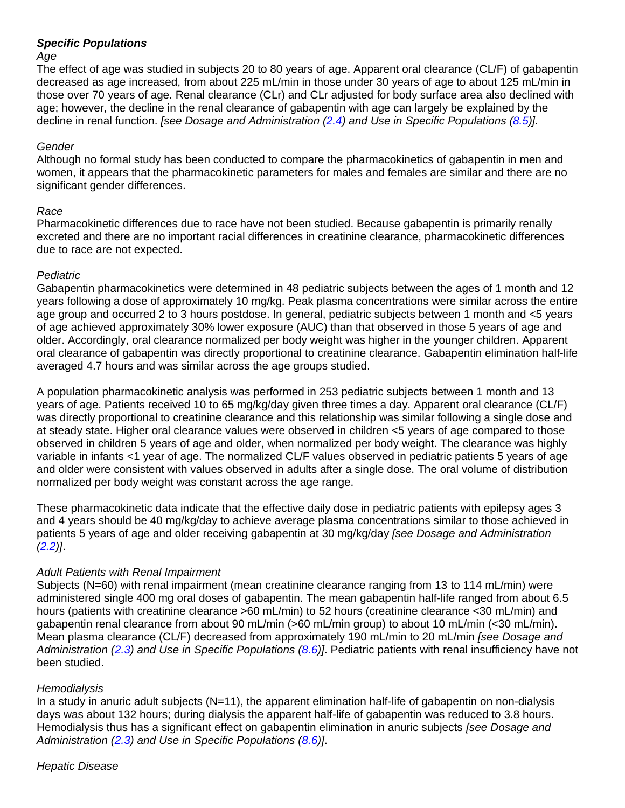#### *Specific Populations*

#### *Age*

The effect of age was studied in subjects 20 to 80 years of age. Apparent oral clearance (CL/F) of gabapentin decreased as age increased, from about 225 mL/min in those under 30 years of age to about 125 mL/min in those over 70 years of age. Renal clearance (CLr) and CLr adjusted for body surface area also declined with age; however, the decline in the renal clearance of gabapentin with age can largely be explained by the decline in renal function. *[see Dosage and Administration [\(2.4\)](#page-3-0) and Use in Specific Populations [\(8.5\)](#page-11-2)].*

#### *Gender*

Although no formal study has been conducted to compare the pharmacokinetics of gabapentin in men and women, it appears that the pharmacokinetic parameters for males and females are similar and there are no significant gender differences.

#### *Race*

Pharmacokinetic differences due to race have not been studied. Because gabapentin is primarily renally excreted and there are no important racial differences in creatinine clearance, pharmacokinetic differences due to race are not expected.

#### *Pediatric*

Gabapentin pharmacokinetics were determined in 48 pediatric subjects between the ages of 1 month and 12 years following a dose of approximately 10 mg/kg. Peak plasma concentrations were similar across the entire age group and occurred 2 to 3 hours postdose. In general, pediatric subjects between 1 month and <5 years of age achieved approximately 30% lower exposure (AUC) than that observed in those 5 years of age and older. Accordingly, oral clearance normalized per body weight was higher in the younger children. Apparent oral clearance of gabapentin was directly proportional to creatinine clearance. Gabapentin elimination half-life averaged 4.7 hours and was similar across the age groups studied.

A population pharmacokinetic analysis was performed in 253 pediatric subjects between 1 month and 13 years of age. Patients received 10 to 65 mg/kg/day given three times a day. Apparent oral clearance (CL/F) was directly proportional to creatinine clearance and this relationship was similar following a single dose and at steady state. Higher oral clearance values were observed in children <5 years of age compared to those observed in children 5 years of age and older, when normalized per body weight. The clearance was highly variable in infants <1 year of age. The normalized CL/F values observed in pediatric patients 5 years of age and older were consistent with values observed in adults after a single dose. The oral volume of distribution normalized per body weight was constant across the age range.

These pharmacokinetic data indicate that the effective daily dose in pediatric patients with epilepsy ages 3 and 4 years should be 40 mg/kg/day to achieve average plasma concentrations similar to those achieved in patients 5 years of age and older receiving gabapentin at 30 mg/kg/day *[see Dosage and Administration [\(2.2\)](#page-2-2)]*.

#### *Adult Patients with Renal Impairment*

Subjects (N=60) with renal impairment (mean creatinine clearance ranging from 13 to 114 mL/min) were administered single 400 mg oral doses of gabapentin. The mean gabapentin half-life ranged from about 6.5 hours (patients with creatinine clearance >60 mL/min) to 52 hours (creatinine clearance <30 mL/min) and gabapentin renal clearance from about 90 mL/min (>60 mL/min group) to about 10 mL/min (<30 mL/min). Mean plasma clearance (CL/F) decreased from approximately 190 mL/min to 20 mL/min *[see Dosage and Administration [\(2.3\)](#page-2-3) and Use in Specific Populations [\(8.6\)](#page-12-0)]*. Pediatric patients with renal insufficiency have not been studied.

#### *Hemodialysis*

In a study in anuric adult subjects (N=11), the apparent elimination half-life of gabapentin on non-dialysis days was about 132 hours; during dialysis the apparent half-life of gabapentin was reduced to 3.8 hours. Hemodialysis thus has a significant effect on gabapentin elimination in anuric subjects *[see Dosage and Administration [\(2.3\)](#page-2-3) and Use in Specific Populations [\(8.6\)](#page-12-0)]*.

#### *Hepatic Disease*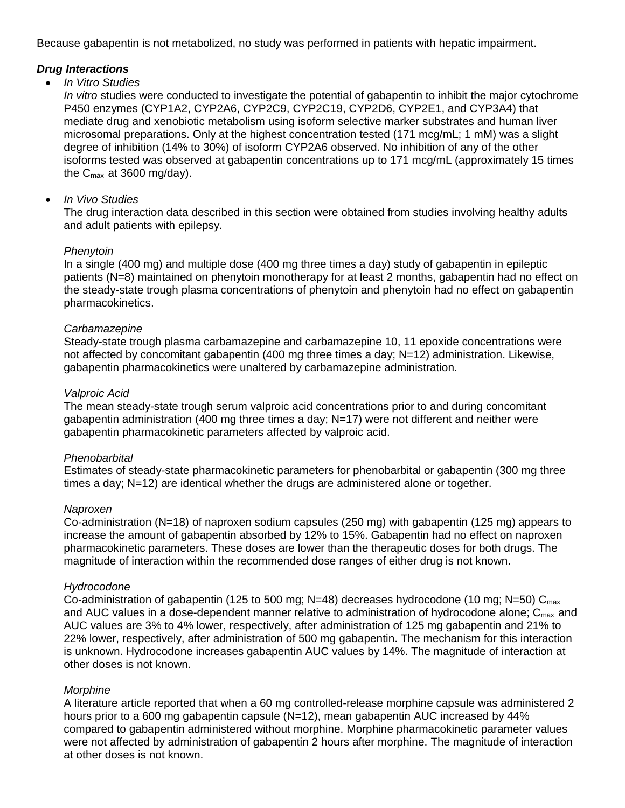Because gabapentin is not metabolized, no study was performed in patients with hepatic impairment.

#### *Drug Interactions*

#### • *In Vitro Studies*

*In vitro* studies were conducted to investigate the potential of gabapentin to inhibit the major cytochrome P450 enzymes (CYP1A2, CYP2A6, CYP2C9, CYP2C19, CYP2D6, CYP2E1, and CYP3A4) that mediate drug and xenobiotic metabolism using isoform selective marker substrates and human liver microsomal preparations. Only at the highest concentration tested (171 mcg/mL; 1 mM) was a slight degree of inhibition (14% to 30%) of isoform CYP2A6 observed. No inhibition of any of the other isoforms tested was observed at gabapentin concentrations up to 171 mcg/mL (approximately 15 times the Cmax at 3600 mg/day).

#### • *In Vivo Studies*

The drug interaction data described in this section were obtained from studies involving healthy adults and adult patients with epilepsy.

#### *Phenytoin*

In a single (400 mg) and multiple dose (400 mg three times a day) study of gabapentin in epileptic patients (N=8) maintained on phenytoin monotherapy for at least 2 months, gabapentin had no effect on the steady-state trough plasma concentrations of phenytoin and phenytoin had no effect on gabapentin pharmacokinetics.

#### *Carbamazepine*

Steady-state trough plasma carbamazepine and carbamazepine 10, 11 epoxide concentrations were not affected by concomitant gabapentin (400 mg three times a day; N=12) administration. Likewise, gabapentin pharmacokinetics were unaltered by carbamazepine administration.

#### *Valproic Acid*

The mean steady-state trough serum valproic acid concentrations prior to and during concomitant gabapentin administration (400 mg three times a day;  $N=17$ ) were not different and neither were gabapentin pharmacokinetic parameters affected by valproic acid.

#### *Phenobarbital*

Estimates of steady-state pharmacokinetic parameters for phenobarbital or gabapentin (300 mg three times a day; N=12) are identical whether the drugs are administered alone or together.

#### *Naproxen*

Co-administration (N=18) of naproxen sodium capsules (250 mg) with gabapentin (125 mg) appears to increase the amount of gabapentin absorbed by 12% to 15%. Gabapentin had no effect on naproxen pharmacokinetic parameters. These doses are lower than the therapeutic doses for both drugs. The magnitude of interaction within the recommended dose ranges of either drug is not known.

#### *Hydrocodone*

Co-administration of gabapentin (125 to 500 mg;  $N=48$ ) decreases hydrocodone (10 mg;  $N=50$ ) C<sub>max</sub> and AUC values in a dose-dependent manner relative to administration of hydrocodone alone;  $C_{\text{max}}$  and AUC values are 3% to 4% lower, respectively, after administration of 125 mg gabapentin and 21% to 22% lower, respectively, after administration of 500 mg gabapentin. The mechanism for this interaction is unknown. Hydrocodone increases gabapentin AUC values by 14%. The magnitude of interaction at other doses is not known.

#### *Morphine*

A literature article reported that when a 60 mg controlled-release morphine capsule was administered 2 hours prior to a 600 mg gabapentin capsule (N=12), mean gabapentin AUC increased by 44% compared to gabapentin administered without morphine. Morphine pharmacokinetic parameter values were not affected by administration of gabapentin 2 hours after morphine. The magnitude of interaction at other doses is not known.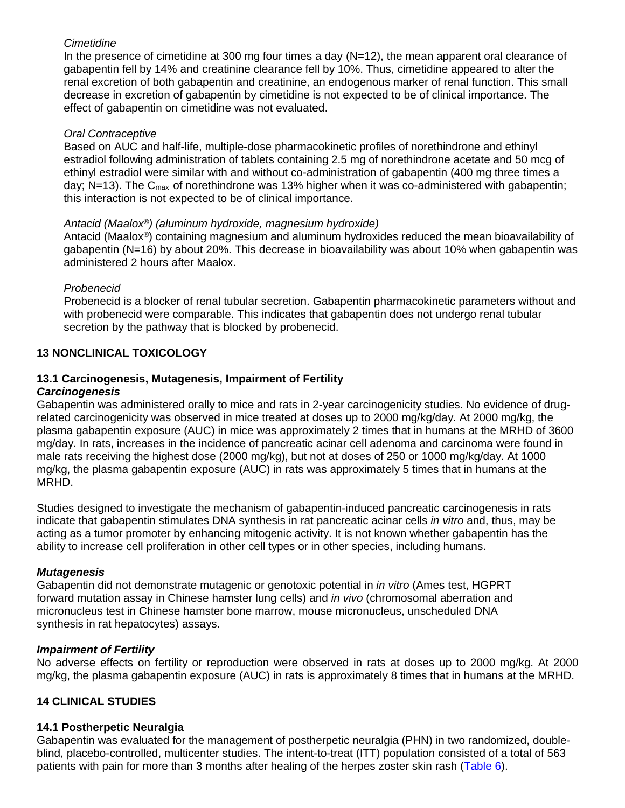#### *Cimetidine*

In the presence of cimetidine at 300 mg four times a day  $(N=12)$ , the mean apparent oral clearance of gabapentin fell by 14% and creatinine clearance fell by 10%. Thus, cimetidine appeared to alter the renal excretion of both gabapentin and creatinine, an endogenous marker of renal function. This small decrease in excretion of gabapentin by cimetidine is not expected to be of clinical importance. The effect of gabapentin on cimetidine was not evaluated.

## *Oral Contraceptive*

Based on AUC and half-life, multiple-dose pharmacokinetic profiles of norethindrone and ethinyl estradiol following administration of tablets containing 2.5 mg of norethindrone acetate and 50 mcg of ethinyl estradiol were similar with and without co-administration of gabapentin (400 mg three times a day; N=13). The  $C_{\text{max}}$  of norethindrone was 13% higher when it was co-administered with gabapentin; this interaction is not expected to be of clinical importance.

#### *Antacid (Maalox®) (aluminum hydroxide, magnesium hydroxide)*

Antacid (Maalox*®*) containing magnesium and aluminum hydroxides reduced the mean bioavailability of gabapentin (N=16) by about 20%. This decrease in bioavailability was about 10% when gabapentin was administered 2 hours after Maalox.

## *Probenecid*

Probenecid is a blocker of renal tubular secretion. Gabapentin pharmacokinetic parameters without and with probenecid were comparable. This indicates that gabapentin does not undergo renal tubular secretion by the pathway that is blocked by probenecid.

## <span id="page-16-0"></span>**13 NONCLINICAL TOXICOLOGY**

## <span id="page-16-1"></span>**13.1 Carcinogenesis, Mutagenesis, Impairment of Fertility**

#### *Carcinogenesis*

Gabapentin was administered orally to mice and rats in 2-year carcinogenicity studies. No evidence of drugrelated carcinogenicity was observed in mice treated at doses up to 2000 mg/kg/day. At 2000 mg/kg, the plasma gabapentin exposure (AUC) in mice was approximately 2 times that in humans at the MRHD of 3600 mg/day. In rats, increases in the incidence of pancreatic acinar cell adenoma and carcinoma were found in male rats receiving the highest dose (2000 mg/kg), but not at doses of 250 or 1000 mg/kg/day. At 1000 mg/kg, the plasma gabapentin exposure (AUC) in rats was approximately 5 times that in humans at the MRHD.

Studies designed to investigate the mechanism of gabapentin-induced pancreatic carcinogenesis in rats indicate that gabapentin stimulates DNA synthesis in rat pancreatic acinar cells *in vitro* and, thus, may be acting as a tumor promoter by enhancing mitogenic activity. It is not known whether gabapentin has the ability to increase cell proliferation in other cell types or in other species, including humans.

#### *Mutagenesis*

Gabapentin did not demonstrate mutagenic or genotoxic potential in *in vitro* (Ames test, HGPRT forward mutation assay in Chinese hamster lung cells) and *in vivo* (chromosomal aberration and micronucleus test in Chinese hamster bone marrow, mouse micronucleus, unscheduled DNA synthesis in rat hepatocytes) assays.

#### *Impairment of Fertility*

No adverse effects on fertility or reproduction were observed in rats at doses up to 2000 mg/kg. At 2000 mg/kg, the plasma gabapentin exposure (AUC) in rats is approximately 8 times that in humans at the MRHD.

## <span id="page-16-2"></span>**14 CLINICAL STUDIES**

#### <span id="page-16-3"></span>**14.1 Postherpetic Neuralgia**

Gabapentin was evaluated for the management of postherpetic neuralgia (PHN) in two randomized, doubleblind, placebo-controlled, multicenter studies. The intent-to-treat (ITT) population consisted of a total of 563 patients with pain for more than 3 months after healing of the herpes zoster skin rash [\(Table](#page-16-3) 6).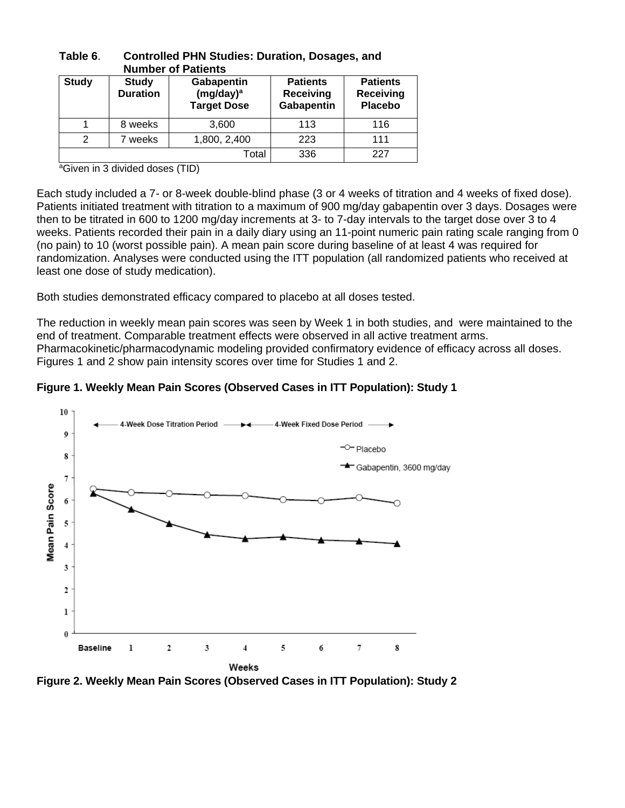|              |                                 | <b>Number of Patients</b>                                 |                                                   |                                                |
|--------------|---------------------------------|-----------------------------------------------------------|---------------------------------------------------|------------------------------------------------|
| <b>Study</b> | <b>Study</b><br><b>Duration</b> | Gabapentin<br>(mg/day) <sup>a</sup><br><b>Target Dose</b> | <b>Patients</b><br><b>Receiving</b><br>Gabapentin | <b>Patients</b><br>Receiving<br><b>Placebo</b> |
|              | 8 weeks                         | 3,600                                                     | 113                                               | 116                                            |
| 2            | weeks                           | 1,800, 2,400                                              | 223                                               | 111                                            |
|              |                                 | Total                                                     | 336                                               | 227                                            |

# **Table 6**. **Controlled PHN Studies: Duration, Dosages, and**

<sup>a</sup>Given in 3 divided doses (TID)

Each study included a 7- or 8-week double-blind phase (3 or 4 weeks of titration and 4 weeks of fixed dose). Patients initiated treatment with titration to a maximum of 900 mg/day gabapentin over 3 days. Dosages were then to be titrated in 600 to 1200 mg/day increments at 3- to 7-day intervals to the target dose over 3 to 4 weeks. Patients recorded their pain in a daily diary using an 11-point numeric pain rating scale ranging from 0 (no pain) to 10 (worst possible pain). A mean pain score during baseline of at least 4 was required for randomization. Analyses were conducted using the ITT population (all randomized patients who received at least one dose of study medication).

Both studies demonstrated efficacy compared to placebo at all doses tested.

The reduction in weekly mean pain scores was seen by Week 1 in both studies, and were maintained to the end of treatment. Comparable treatment effects were observed in all active treatment arms. Pharmacokinetic/pharmacodynamic modeling provided confirmatory evidence of efficacy across all doses. Figures 1 and 2 show pain intensity scores over time for Studies 1 and 2.





**Figure 2. Weekly Mean Pain Scores (Observed Cases in ITT Population): Study 2**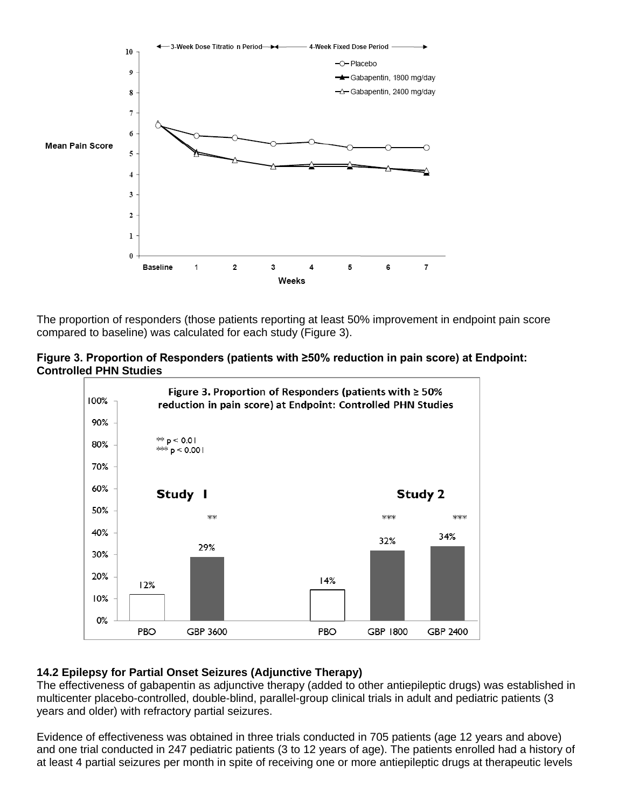

The proportion of responders (those patients reporting at least 50% improvement in endpoint pain score compared to baseline) was calculated for each study (Figure 3).





## <span id="page-18-0"></span>**14.2 Epilepsy for Partial Onset Seizures (Adjunctive Therapy)**

The effectiveness of gabapentin as adjunctive therapy (added to other antiepileptic drugs) was established in multicenter placebo-controlled, double-blind, parallel-group clinical trials in adult and pediatric patients (3 years and older) with refractory partial seizures.

Evidence of effectiveness was obtained in three trials conducted in 705 patients (age 12 years and above) and one trial conducted in 247 pediatric patients (3 to 12 years of age). The patients enrolled had a history of at least 4 partial seizures per month in spite of receiving one or more antiepileptic drugs at therapeutic levels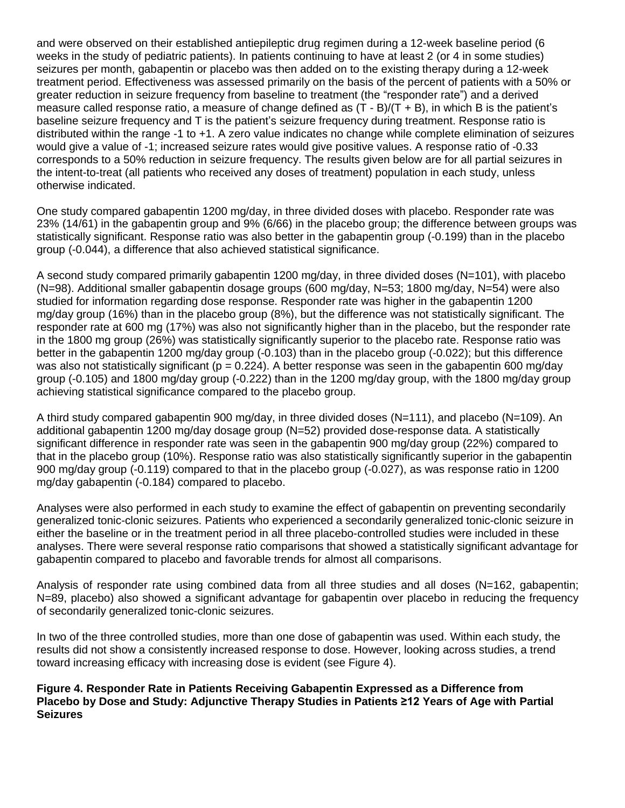and were observed on their established antiepileptic drug regimen during a 12-week baseline period (6 weeks in the study of pediatric patients). In patients continuing to have at least 2 (or 4 in some studies) seizures per month, gabapentin or placebo was then added on to the existing therapy during a 12-week treatment period. Effectiveness was assessed primarily on the basis of the percent of patients with a 50% or greater reduction in seizure frequency from baseline to treatment (the "responder rate") and a derived measure called response ratio, a measure of change defined as (T - B)/(T + B), in which B is the patient's baseline seizure frequency and T is the patient's seizure frequency during treatment. Response ratio is distributed within the range -1 to +1. A zero value indicates no change while complete elimination of seizures would give a value of -1; increased seizure rates would give positive values. A response ratio of -0.33 corresponds to a 50% reduction in seizure frequency. The results given below are for all partial seizures in the intent-to-treat (all patients who received any doses of treatment) population in each study, unless otherwise indicated.

One study compared gabapentin 1200 mg/day, in three divided doses with placebo. Responder rate was 23% (14/61) in the gabapentin group and 9% (6/66) in the placebo group; the difference between groups was statistically significant. Response ratio was also better in the gabapentin group (-0.199) than in the placebo group (-0.044), a difference that also achieved statistical significance.

A second study compared primarily gabapentin 1200 mg/day, in three divided doses (N=101), with placebo (N=98). Additional smaller gabapentin dosage groups (600 mg/day, N=53; 1800 mg/day, N=54) were also studied for information regarding dose response. Responder rate was higher in the gabapentin 1200 mg/day group (16%) than in the placebo group (8%), but the difference was not statistically significant. The responder rate at 600 mg (17%) was also not significantly higher than in the placebo, but the responder rate in the 1800 mg group (26%) was statistically significantly superior to the placebo rate. Response ratio was better in the gabapentin 1200 mg/day group (-0.103) than in the placebo group (-0.022); but this difference was also not statistically significant ( $p = 0.224$ ). A better response was seen in the gabapentin 600 mg/day group (-0.105) and 1800 mg/day group (-0.222) than in the 1200 mg/day group, with the 1800 mg/day group achieving statistical significance compared to the placebo group.

A third study compared gabapentin 900 mg/day, in three divided doses (N=111), and placebo (N=109). An additional gabapentin 1200 mg/day dosage group (N=52) provided dose-response data. A statistically significant difference in responder rate was seen in the gabapentin 900 mg/day group (22%) compared to that in the placebo group (10%). Response ratio was also statistically significantly superior in the gabapentin 900 mg/day group (-0.119) compared to that in the placebo group (-0.027), as was response ratio in 1200 mg/day gabapentin (-0.184) compared to placebo.

Analyses were also performed in each study to examine the effect of gabapentin on preventing secondarily generalized tonic-clonic seizures. Patients who experienced a secondarily generalized tonic-clonic seizure in either the baseline or in the treatment period in all three placebo-controlled studies were included in these analyses. There were several response ratio comparisons that showed a statistically significant advantage for gabapentin compared to placebo and favorable trends for almost all comparisons.

Analysis of responder rate using combined data from all three studies and all doses (N=162, gabapentin; N=89, placebo) also showed a significant advantage for gabapentin over placebo in reducing the frequency of secondarily generalized tonic-clonic seizures.

In two of the three controlled studies, more than one dose of gabapentin was used. Within each study, the results did not show a consistently increased response to dose. However, looking across studies, a trend toward increasing efficacy with increasing dose is evident (see Figure 4).

**Figure 4. Responder Rate in Patients Receiving Gabapentin Expressed as a Difference from Placebo by Dose and Study: Adjunctive Therapy Studies in Patients ≥12 Years of Age with Partial Seizures**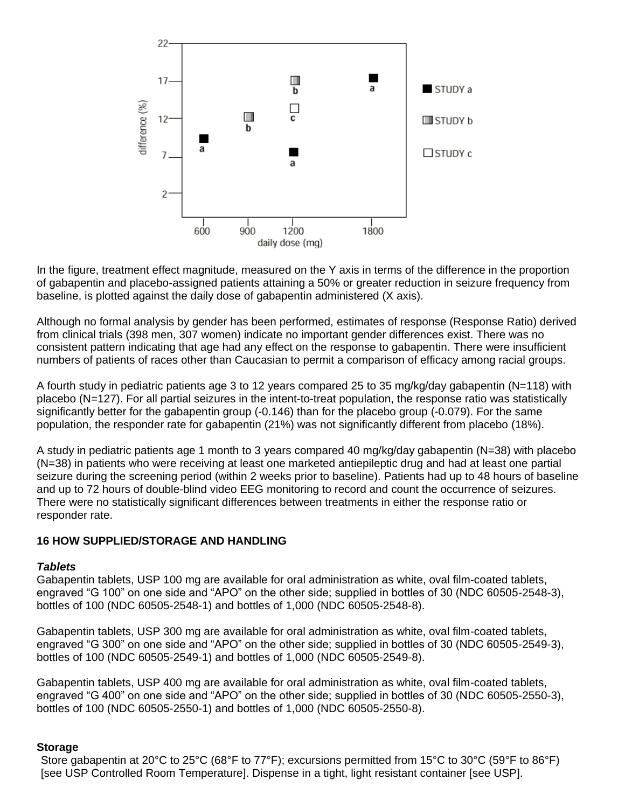

In the figure, treatment effect magnitude, measured on the Y axis in terms of the difference in the proportion of gabapentin and placebo-assigned patients attaining a 50% or greater reduction in seizure frequency from baseline, is plotted against the daily dose of gabapentin administered (X axis).

Although no formal analysis by gender has been performed, estimates of response (Response Ratio) derived from clinical trials (398 men, 307 women) indicate no important gender differences exist. There was no consistent pattern indicating that age had any effect on the response to gabapentin. There were insufficient numbers of patients of races other than Caucasian to permit a comparison of efficacy among racial groups.

A fourth study in pediatric patients age 3 to 12 years compared 25 to 35 mg/kg/day gabapentin (N=118) with placebo (N=127). For all partial seizures in the intent-to-treat population, the response ratio was statistically significantly better for the gabapentin group (-0.146) than for the placebo group (-0.079). For the same population, the responder rate for gabapentin (21%) was not significantly different from placebo (18%).

A study in pediatric patients age 1 month to 3 years compared 40 mg/kg/day gabapentin (N=38) with placebo (N=38) in patients who were receiving at least one marketed antiepileptic drug and had at least one partial seizure during the screening period (within 2 weeks prior to baseline). Patients had up to 48 hours of baseline and up to 72 hours of double-blind video EEG monitoring to record and count the occurrence of seizures. There were no statistically significant differences between treatments in either the response ratio or responder rate.

#### <span id="page-20-0"></span>**16 HOW SUPPLIED/STORAGE AND HANDLING**

#### *Tablets*

Gabapentin tablets, USP 100 mg are available for oral administration as white, oval film-coated tablets, engraved "G 100" on one side and "APO" on the other side; supplied in bottles of 30 (NDC 60505-2548-3), bottles of 100 (NDC 60505-2548-1) and bottles of 1,000 (NDC 60505-2548-8).

Gabapentin tablets, USP 300 mg are available for oral administration as white, oval film-coated tablets, engraved "G 300" on one side and "APO" on the other side; supplied in bottles of 30 (NDC 60505-2549-3), bottles of 100 (NDC 60505-2549-1) and bottles of 1,000 (NDC 60505-2549-8).

Gabapentin tablets, USP 400 mg are available for oral administration as white, oval film-coated tablets, engraved "G 400" on one side and "APO" on the other side; supplied in bottles of 30 (NDC 60505-2550-3), bottles of 100 (NDC 60505-2550-1) and bottles of 1,000 (NDC 60505-2550-8).

#### **Storage**

Store gabapentin at 20°C to 25°C (68°F to 77°F); excursions permitted from 15°C to 30°C (59°F to 86°F) [see USP Controlled Room Temperature]. Dispense in a tight, light resistant container [see USP].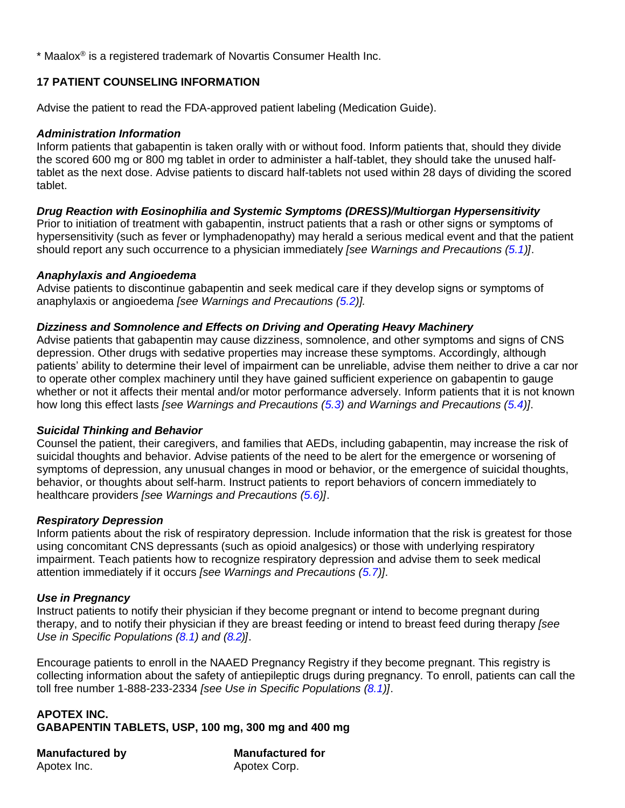\* Maalox® is a registered trademark of Novartis Consumer Health Inc.

### <span id="page-21-0"></span>**17 PATIENT COUNSELING INFORMATION**

Advise the patient to read the FDA-approved patient labeling (Medication Guide).

#### *Administration Information*

Inform patients that gabapentin is taken orally with or without food. Inform patients that, should they divide the scored 600 mg or 800 mg tablet in order to administer a half-tablet, they should take the unused halftablet as the next dose. Advise patients to discard half-tablets not used within 28 days of dividing the scored tablet.

#### *Drug Reaction with Eosinophilia and Systemic Symptoms (DRESS)/Multiorgan Hypersensitivity*

Prior to initiation of treatment with gabapentin, instruct patients that a rash or other signs or symptoms of hypersensitivity (such as fever or lymphadenopathy) may herald a serious medical event and that the patient should report any such occurrence to a physician immediately *[see Warnings and Precautions [\(5.1\)](#page-3-3)]*.

#### *Anaphylaxis and Angioedema*

Advise patients to discontinue gabapentin and seek medical care if they develop signs or symptoms of anaphylaxis or angioedema *[see Warnings and Precautions [\(5.2\)](#page-3-4)].*

#### *Dizziness and Somnolence and Effects on Driving and Operating Heavy Machinery*

Advise patients that gabapentin may cause dizziness, somnolence, and other symptoms and signs of CNS depression. Other drugs with sedative properties may increase these symptoms. Accordingly, although patients' ability to determine their level of impairment can be unreliable, advise them neither to drive a car nor to operate other complex machinery until they have gained sufficient experience on gabapentin to gauge whether or not it affects their mental and/or motor performance adversely. Inform patients that it is not known how long this effect lasts *[see Warnings and Precautions [\(5.3\)](#page-4-1) and Warnings and Precautions [\(5.4\)](#page-4-1)]*.

#### *Suicidal Thinking and Behavior*

Counsel the patient, their caregivers, and families that AEDs, including gabapentin, may increase the risk of suicidal thoughts and behavior. Advise patients of the need to be alert for the emergence or worsening of symptoms of depression, any unusual changes in mood or behavior, or the emergence of suicidal thoughts, behavior, or thoughts about self-harm. Instruct patients to report behaviors of concern immediately to healthcare providers *[see Warnings and Precautions [\(5.6\)](#page-4-0)]*.

#### *Respiratory Depression*

Inform patients about the risk of respiratory depression. Include information that the risk is greatest for those using concomitant CNS depressants (such as opioid analgesics) or those with underlying respiratory impairment. Teach patients how to recognize respiratory depression and advise them to seek medical attention immediately if it occurs *[see Warnings and Precautions [\(5.7\)](#page-6-0)]*.

#### *Use in Pregnancy*

Instruct patients to notify their physician if they become pregnant or intend to become pregnant during therapy, and to notify their physician if they are breast feeding or intend to breast feed during therapy *[see Use in Specific Populations [\(8.1\)](#page-10-0) and [\(8.2\)](#page-11-0)]*.

Encourage patients to enroll in the NAAED Pregnancy Registry if they become pregnant. This registry is collecting information about the safety of antiepileptic drugs during pregnancy. To enroll, patients can call the toll free number 1-888-233-2334 *[see Use in Specific Populations [\(8.1\)](#page-10-0)]*.

## **APOTEX INC. GABAPENTIN TABLETS, USP, 100 mg, 300 mg and 400 mg**

Apotex Inc. **Apotex Corp.** 

**Manufactured by Manufactured for**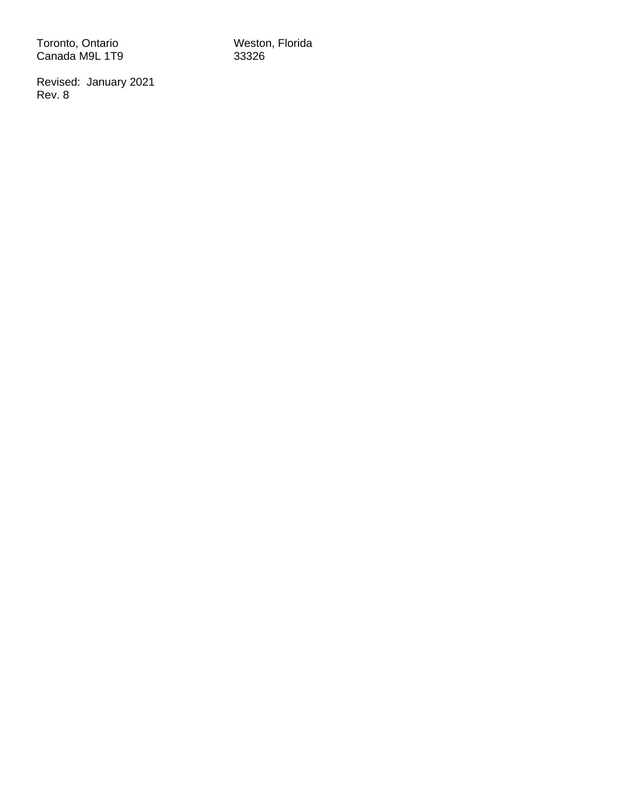Toronto, Ontario Weston, Florida Canada M9L 1T9 33326

Revised: January 2021 Rev. 8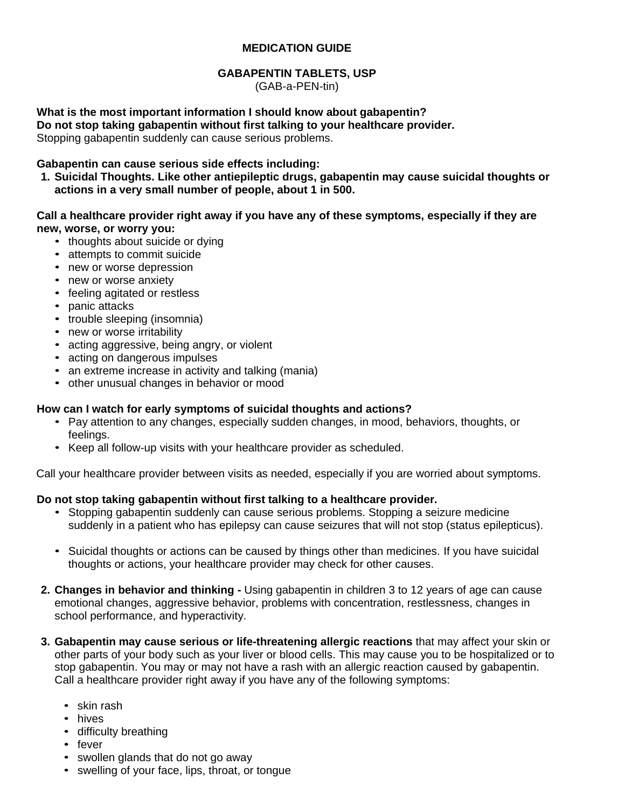#### **MEDICATION GUIDE**

## **GABAPENTIN TABLETS, USP**

(GAB-a-PEN-tin)

<span id="page-23-0"></span>**What is the most important information I should know about gabapentin? Do not stop taking gabapentin without first talking to your healthcare provider.** Stopping gabapentin suddenly can cause serious problems.

#### **Gabapentin can cause serious side effects including:**

**1. Suicidal Thoughts. Like other antiepileptic drugs, gabapentin may cause suicidal thoughts or actions in a very small number of people, about 1 in 500.**

#### **Call a healthcare provider right away if you have any of these symptoms, especially if they are new, worse, or worry you:**

- thoughts about suicide or dying
- attempts to commit suicide
- new or worse depression
- new or worse anxiety
- feeling agitated or restless
- panic attacks
- trouble sleeping (insomnia)
- new or worse irritability
- acting aggressive, being angry, or violent
- acting on dangerous impulses
- an extreme increase in activity and talking (mania)
- other unusual changes in behavior or mood

#### **How can I watch for early symptoms of suicidal thoughts and actions?**

- Pay attention to any changes, especially sudden changes, in mood, behaviors, thoughts, or feelings.
- Keep all follow-up visits with your healthcare provider as scheduled.

Call your healthcare provider between visits as needed, especially if you are worried about symptoms.

#### **Do not stop taking gabapentin without first talking to a healthcare provider.**

- Stopping gabapentin suddenly can cause serious problems. Stopping a seizure medicine suddenly in a patient who has epilepsy can cause seizures that will not stop (status epilepticus).
- Suicidal thoughts or actions can be caused by things other than medicines. If you have suicidal thoughts or actions, your healthcare provider may check for other causes.
- **2. Changes in behavior and thinking -** Using gabapentin in children 3 to 12 years of age can cause emotional changes, aggressive behavior, problems with concentration, restlessness, changes in school performance, and hyperactivity.
- **3. Gabapentin may cause serious or life-threatening allergic reactions** that may affect your skin or other parts of your body such as your liver or blood cells. This may cause you to be hospitalized or to stop gabapentin. You may or may not have a rash with an allergic reaction caused by gabapentin. Call a healthcare provider right away if you have any of the following symptoms:
	- skin rash
	- hives
	- difficulty breathing
	- fever
	- swollen glands that do not go away
	- swelling of your face, lips, throat, or tongue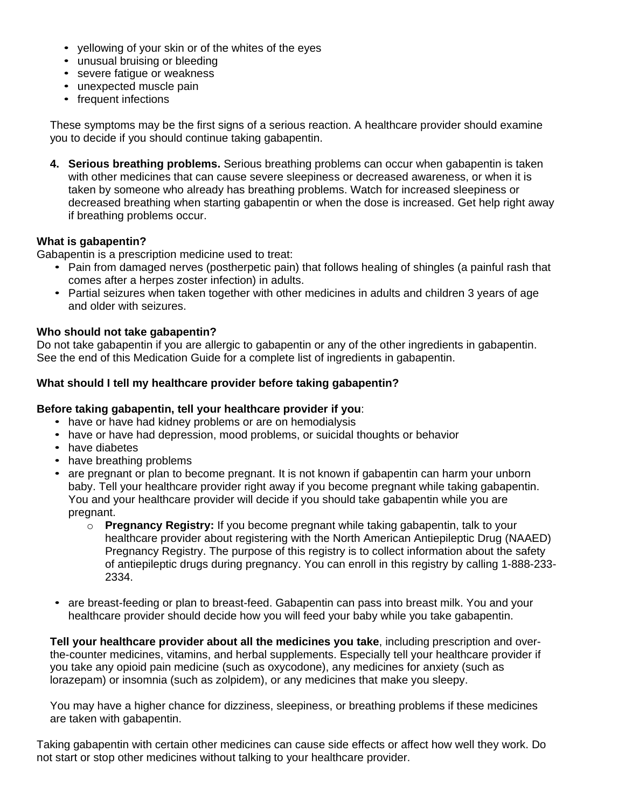- yellowing of your skin or of the whites of the eyes
- unusual bruising or bleeding
- severe fatigue or weakness
- unexpected muscle pain
- frequent infections

These symptoms may be the first signs of a serious reaction. A healthcare provider should examine you to decide if you should continue taking gabapentin.

**4. Serious breathing problems.** Serious breathing problems can occur when gabapentin is taken with other medicines that can cause severe sleepiness or decreased awareness, or when it is taken by someone who already has breathing problems. Watch for increased sleepiness or decreased breathing when starting gabapentin or when the dose is increased. Get help right away if breathing problems occur.

#### **What is gabapentin?**

Gabapentin is a prescription medicine used to treat:

- Pain from damaged nerves (postherpetic pain) that follows healing of shingles (a painful rash that comes after a herpes zoster infection) in adults.
- Partial seizures when taken together with other medicines in adults and children 3 years of age and older with seizures.

#### **Who should not take gabapentin?**

Do not take gabapentin if you are allergic to gabapentin or any of the other ingredients in gabapentin. See the end of this Medication Guide for a complete list of ingredients in gabapentin.

#### **What should I tell my healthcare provider before taking gabapentin?**

#### **Before taking gabapentin, tell your healthcare provider if you**:

- have or have had kidney problems or are on hemodialysis
- have or have had depression, mood problems, or suicidal thoughts or behavior
- have diabetes
- have breathing problems
- are pregnant or plan to become pregnant. It is not known if gabapentin can harm your unborn baby. Tell your healthcare provider right away if you become pregnant while taking gabapentin. You and your healthcare provider will decide if you should take gabapentin while you are pregnant.
	- o **Pregnancy Registry:** If you become pregnant while taking gabapentin, talk to your healthcare provider about registering with the North American Antiepileptic Drug (NAAED) Pregnancy Registry. The purpose of this registry is to collect information about the safety of antiepileptic drugs during pregnancy. You can enroll in this registry by calling 1-888-233- 2334.
- are breast-feeding or plan to breast-feed. Gabapentin can pass into breast milk. You and your healthcare provider should decide how you will feed your baby while you take gabapentin.

**Tell your healthcare provider about all the medicines you take**, including prescription and overthe-counter medicines, vitamins, and herbal supplements. Especially tell your healthcare provider if you take any opioid pain medicine (such as oxycodone), any medicines for anxiety (such as lorazepam) or insomnia (such as zolpidem), or any medicines that make you sleepy.

You may have a higher chance for dizziness, sleepiness, or breathing problems if these medicines are taken with gabapentin.

Taking gabapentin with certain other medicines can cause side effects or affect how well they work. Do not start or stop other medicines without talking to your healthcare provider.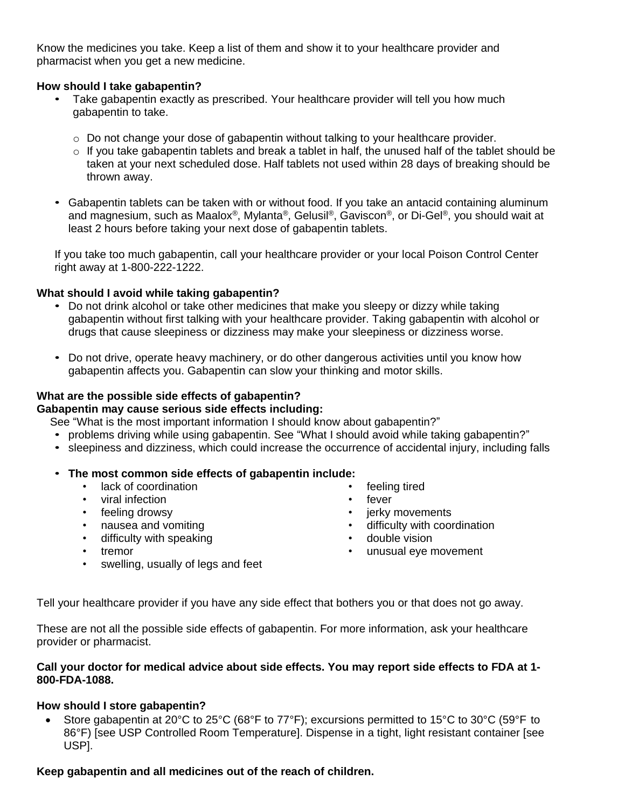Know the medicines you take. Keep a list of them and show it to your healthcare provider and pharmacist when you get a new medicine.

#### **How should I take gabapentin?**

- Take gabapentin exactly as prescribed. Your healthcare provider will tell you how much gabapentin to take.
	- $\circ$  Do not change your dose of gabapentin without talking to your healthcare provider.
	- o If you take gabapentin tablets and break a tablet in half, the unused half of the tablet should be taken at your next scheduled dose. Half tablets not used within 28 days of breaking should be thrown away.
- Gabapentin tablets can be taken with or without food. If you take an antacid containing aluminum and magnesium, such as Maalox®, Mylanta®, Gelusil®, Gaviscon®, or Di-Gel®, you should wait at least 2 hours before taking your next dose of gabapentin tablets.

If you take too much gabapentin, call your healthcare provider or your local Poison Control Center right away at 1-800-222-1222.

#### **What should I avoid while taking gabapentin?**

- Do not drink alcohol or take other medicines that make you sleepy or dizzy while taking gabapentin without first talking with your healthcare provider. Taking gabapentin with alcohol or drugs that cause sleepiness or dizziness may make your sleepiness or dizziness worse.
- Do not drive, operate heavy machinery, or do other dangerous activities until you know how gabapentin affects you. Gabapentin can slow your thinking and motor skills.

## **What are the possible side effects of gabapentin?**

## **Gabapentin may cause serious side effects including:**

See "What is the most important information I should know about gabapentin?"

- problems driving while using gabapentin. See "What I should avoid while taking gabapentin?"
- sleepiness and dizziness, which could increase the occurrence of accidental injury, including falls

#### • **The most common side effects of gabapentin include:**

- lack of coordination
- viral infection
- feeling drowsy
- nausea and vomiting
- difficulty with speaking
- tremor
- swelling, usually of legs and feet
- feeling tired
- fever
- jerky movements
- difficulty with coordination
- double vision
- unusual eye movement
- 

Tell your healthcare provider if you have any side effect that bothers you or that does not go away.

These are not all the possible side effects of gabapentin. For more information, ask your healthcare provider or pharmacist.

#### **Call your doctor for medical advice about side effects. You may report side effects to FDA at 1- 800-FDA-1088.**

#### **How should I store gabapentin?**

• Store gabapentin at 20°C to 25°C (68°F to 77°F); excursions permitted to 15°C to 30°C (59°F to 86°F) [see USP Controlled Room Temperature]. Dispense in a tight, light resistant container [see USP].

#### **Keep gabapentin and all medicines out of the reach of children.**